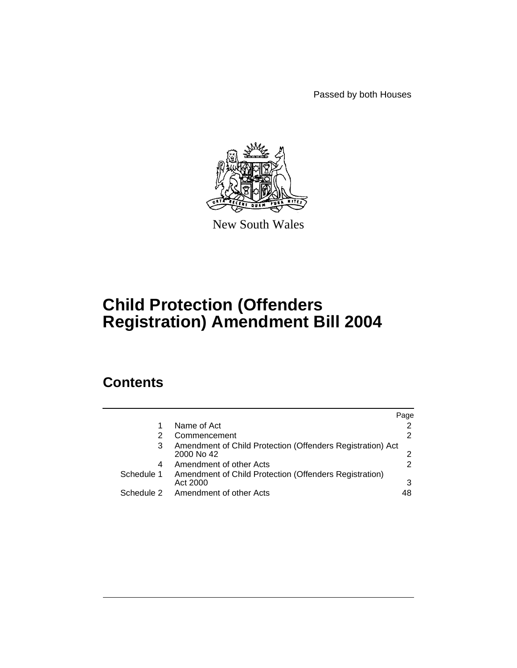Passed by both Houses



New South Wales

# **Child Protection (Offenders Registration) Amendment Bill 2004**

# **Contents**

|            |                                                                          | Page |
|------------|--------------------------------------------------------------------------|------|
|            | Name of Act                                                              |      |
|            | Commencement                                                             | 2    |
| 3          | Amendment of Child Protection (Offenders Registration) Act<br>2000 No 42 | ⌒    |
| 4          | Amendment of other Acts                                                  | 2    |
| Schedule 1 | Amendment of Child Protection (Offenders Registration)<br>Act 2000       |      |
| Schedule 2 | Amendment of other Acts                                                  | 48   |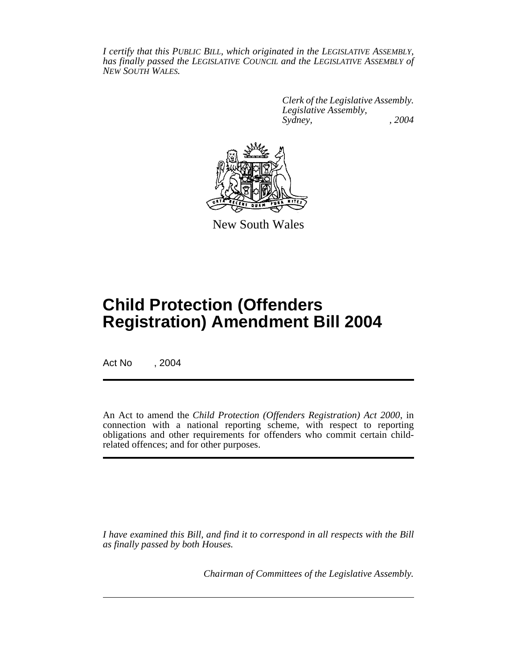*I certify that this PUBLIC BILL, which originated in the LEGISLATIVE ASSEMBLY, has finally passed the LEGISLATIVE COUNCIL and the LEGISLATIVE ASSEMBLY of NEW SOUTH WALES.*

> *Clerk of the Legislative Assembly. Legislative Assembly, Sydney, , 2004*



New South Wales

# **Child Protection (Offenders Registration) Amendment Bill 2004**

Act No , 2004

An Act to amend the *Child Protection (Offenders Registration) Act 2000*, in connection with a national reporting scheme, with respect to reporting obligations and other requirements for offenders who commit certain childrelated offences; and for other purposes.

*I have examined this Bill, and find it to correspond in all respects with the Bill as finally passed by both Houses.*

*Chairman of Committees of the Legislative Assembly.*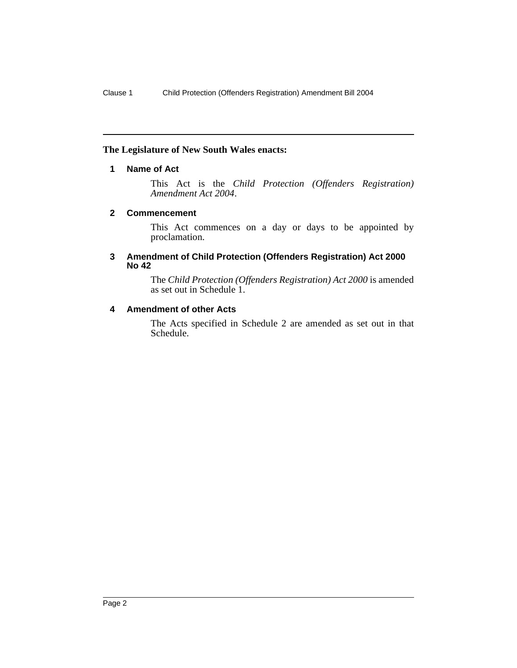### **The Legislature of New South Wales enacts:**

## **1 Name of Act**

This Act is the *Child Protection (Offenders Registration) Amendment Act 2004*.

### **2 Commencement**

This Act commences on a day or days to be appointed by proclamation.

#### **3 Amendment of Child Protection (Offenders Registration) Act 2000 No 42**

The *Child Protection (Offenders Registration) Act 2000* is amended as set out in Schedule 1.

## **4 Amendment of other Acts**

The Acts specified in Schedule 2 are amended as set out in that Schedule.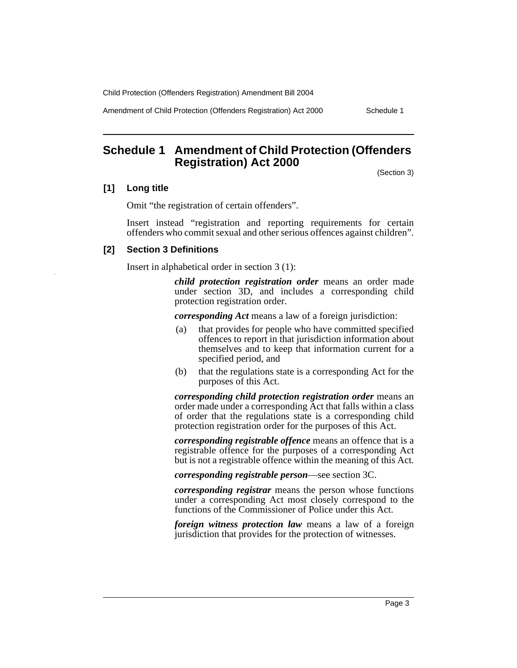Amendment of Child Protection (Offenders Registration) Act 2000 Schedule 1

**Schedule 1 Amendment of Child Protection (Offenders Registration) Act 2000**

(Section 3)

#### **[1] Long title**

Omit "the registration of certain offenders".

Insert instead "registration and reporting requirements for certain offenders who commit sexual and other serious offences against children".

## **[2] Section 3 Definitions**

Insert in alphabetical order in section 3 (1):

*child protection registration order* means an order made under section 3D, and includes a corresponding child protection registration order.

*corresponding Act* means a law of a foreign jurisdiction:

- (a) that provides for people who have committed specified offences to report in that jurisdiction information about themselves and to keep that information current for a specified period, and
- (b) that the regulations state is a corresponding Act for the purposes of this Act.

*corresponding child protection registration order* means an order made under a corresponding Act that falls within a class of order that the regulations state is a corresponding child protection registration order for the purposes of this Act.

*corresponding registrable offence* means an offence that is a registrable offence for the purposes of a corresponding Act but is not a registrable offence within the meaning of this Act.

*corresponding registrable person*—see section 3C.

*corresponding registrar* means the person whose functions under a corresponding Act most closely correspond to the functions of the Commissioner of Police under this Act.

*foreign witness protection law* means a law of a foreign jurisdiction that provides for the protection of witnesses.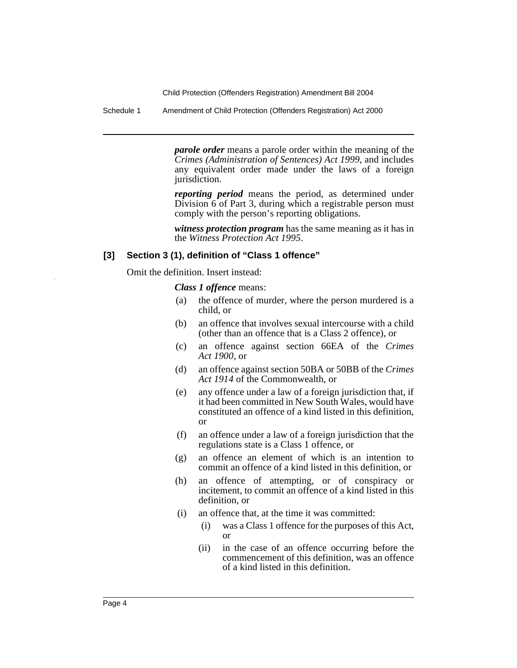Schedule 1 Amendment of Child Protection (Offenders Registration) Act 2000

*parole order* means a parole order within the meaning of the *Crimes (Administration of Sentences) Act 1999*, and includes any equivalent order made under the laws of a foreign jurisdiction.

*reporting period* means the period, as determined under Division 6 of Part 3, during which a registrable person must comply with the person's reporting obligations.

*witness protection program* has the same meaning as it has in the *Witness Protection Act 1995*.

#### **[3] Section 3 (1), definition of "Class 1 offence"**

Omit the definition. Insert instead:

*Class 1 offence* means:

- (a) the offence of murder, where the person murdered is a child, or
- (b) an offence that involves sexual intercourse with a child (other than an offence that is a Class 2 offence), or
- (c) an offence against section 66EA of the *Crimes Act 1900*, or
- (d) an offence against section 50BA or 50BB of the *Crimes Act 1914* of the Commonwealth, or
- (e) any offence under a law of a foreign jurisdiction that, if it had been committed in New South Wales, would have constituted an offence of a kind listed in this definition, or
- (f) an offence under a law of a foreign jurisdiction that the regulations state is a Class 1 offence, or
- (g) an offence an element of which is an intention to commit an offence of a kind listed in this definition, or
- (h) an offence of attempting, or of conspiracy or incitement, to commit an offence of a kind listed in this definition, or
- (i) an offence that, at the time it was committed:
	- (i) was a Class 1 offence for the purposes of this Act, or
	- (ii) in the case of an offence occurring before the commencement of this definition, was an offence of a kind listed in this definition.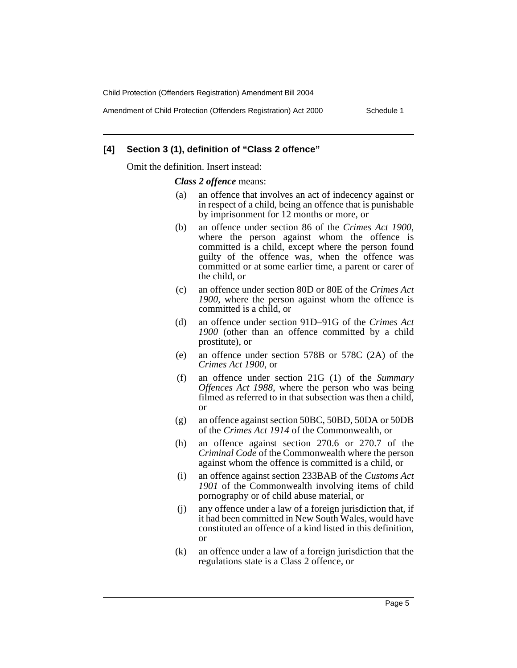Amendment of Child Protection (Offenders Registration) Act 2000 Schedule 1

#### **[4] Section 3 (1), definition of "Class 2 offence"**

Omit the definition. Insert instead:

*Class 2 offence* means:

- (a) an offence that involves an act of indecency against or in respect of a child, being an offence that is punishable by imprisonment for 12 months or more, or
- (b) an offence under section 86 of the *Crimes Act 1900*, where the person against whom the offence is committed is a child, except where the person found guilty of the offence was, when the offence was committed or at some earlier time, a parent or carer of the child, or
- (c) an offence under section 80D or 80E of the *Crimes Act 1900*, where the person against whom the offence is committed is a child, or
- (d) an offence under section 91D–91G of the *Crimes Act 1900* (other than an offence committed by a child prostitute), or
- (e) an offence under section 578B or 578C (2A) of the *Crimes Act 1900*, or
- (f) an offence under section 21G (1) of the *Summary Offences Act 1988*, where the person who was being filmed as referred to in that subsection was then a child, or
- (g) an offence against section 50BC, 50BD, 50DA or 50DB of the *Crimes Act 1914* of the Commonwealth, or
- (h) an offence against section 270.6 or 270.7 of the *Criminal Code* of the Commonwealth where the person against whom the offence is committed is a child, or
- (i) an offence against section 233BAB of the *Customs Act 1901* of the Commonwealth involving items of child pornography or of child abuse material, or
- (j) any offence under a law of a foreign jurisdiction that, if it had been committed in New South Wales, would have constituted an offence of a kind listed in this definition, or
- (k) an offence under a law of a foreign jurisdiction that the regulations state is a Class 2 offence, or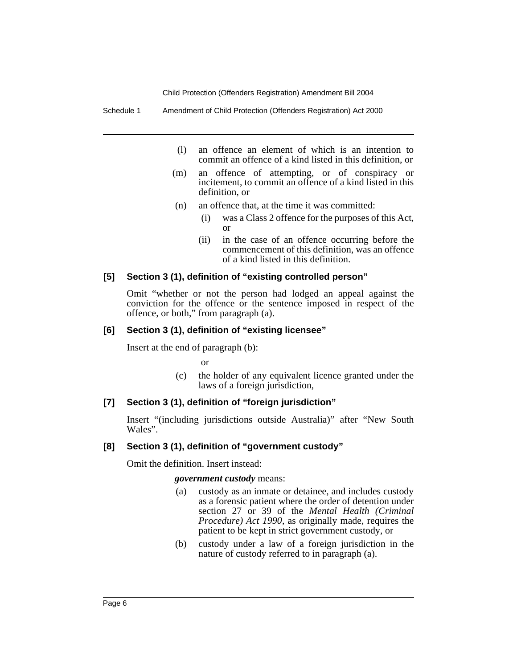Schedule 1 Amendment of Child Protection (Offenders Registration) Act 2000

- (l) an offence an element of which is an intention to commit an offence of a kind listed in this definition, or
- (m) an offence of attempting, or of conspiracy or incitement, to commit an offence of a kind listed in this definition, or
- (n) an offence that, at the time it was committed:
	- (i) was a Class 2 offence for the purposes of this Act, or
	- (ii) in the case of an offence occurring before the commencement of this definition, was an offence of a kind listed in this definition.

#### **[5] Section 3 (1), definition of "existing controlled person"**

Omit "whether or not the person had lodged an appeal against the conviction for the offence or the sentence imposed in respect of the offence, or both," from paragraph (a).

#### **[6] Section 3 (1), definition of "existing licensee"**

Insert at the end of paragraph (b):

or

(c) the holder of any equivalent licence granted under the laws of a foreign jurisdiction,

#### **[7] Section 3 (1), definition of "foreign jurisdiction"**

Insert "(including jurisdictions outside Australia)" after "New South Wales".

#### **[8] Section 3 (1), definition of "government custody"**

Omit the definition. Insert instead:

#### *government custody* means:

- (a) custody as an inmate or detainee, and includes custody as a forensic patient where the order of detention under section 27 or 39 of the *Mental Health (Criminal Procedure) Act 1990*, as originally made, requires the patient to be kept in strict government custody, or
- (b) custody under a law of a foreign jurisdiction in the nature of custody referred to in paragraph (a).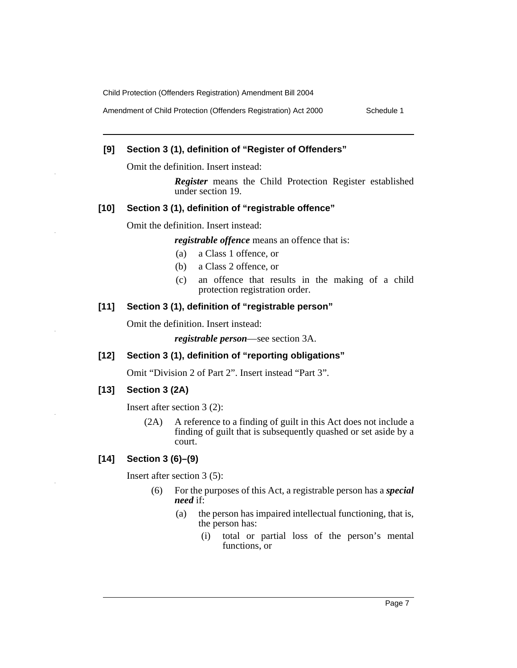Amendment of Child Protection (Offenders Registration) Act 2000 Schedule 1

#### **[9] Section 3 (1), definition of "Register of Offenders"**

Omit the definition. Insert instead:

*Register* means the Child Protection Register established under section 19.

#### **[10] Section 3 (1), definition of "registrable offence"**

Omit the definition. Insert instead:

*registrable offence* means an offence that is:

- (a) a Class 1 offence, or
- (b) a Class 2 offence, or
- (c) an offence that results in the making of a child protection registration order.

## **[11] Section 3 (1), definition of "registrable person"**

Omit the definition. Insert instead:

*registrable person*—see section 3A.

#### **[12] Section 3 (1), definition of "reporting obligations"**

Omit "Division 2 of Part 2". Insert instead "Part 3".

#### **[13] Section 3 (2A)**

Insert after section 3 (2):

(2A) A reference to a finding of guilt in this Act does not include a finding of guilt that is subsequently quashed or set aside by a court.

## **[14] Section 3 (6)–(9)**

Insert after section 3 (5):

- (6) For the purposes of this Act, a registrable person has a *special need* if:
	- (a) the person has impaired intellectual functioning, that is, the person has:
		- (i) total or partial loss of the person's mental functions, or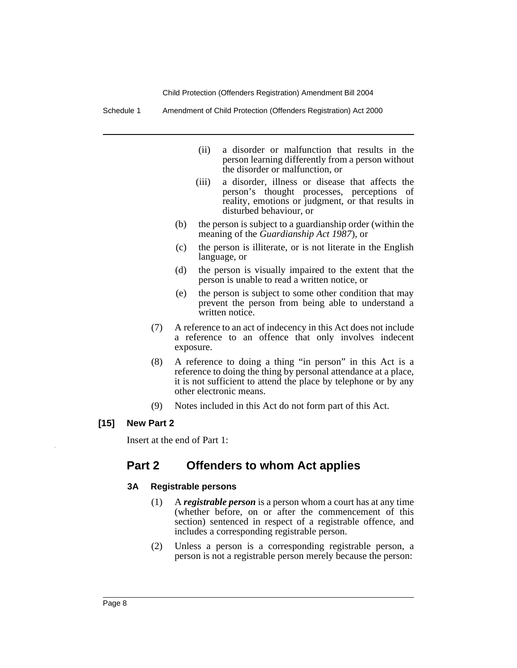Schedule 1 Amendment of Child Protection (Offenders Registration) Act 2000

- (ii) a disorder or malfunction that results in the person learning differently from a person without the disorder or malfunction, or
- (iii) a disorder, illness or disease that affects the person's thought processes, perceptions of reality, emotions or judgment, or that results in disturbed behaviour, or
- (b) the person is subject to a guardianship order (within the meaning of the *Guardianship Act 1987*), or
- (c) the person is illiterate, or is not literate in the English language, or
- (d) the person is visually impaired to the extent that the person is unable to read a written notice, or
- (e) the person is subject to some other condition that may prevent the person from being able to understand a written notice.
- (7) A reference to an act of indecency in this Act does not include a reference to an offence that only involves indecent exposure.
- (8) A reference to doing a thing "in person" in this Act is a reference to doing the thing by personal attendance at a place, it is not sufficient to attend the place by telephone or by any other electronic means.
- (9) Notes included in this Act do not form part of this Act.

### **[15] New Part 2**

Insert at the end of Part 1:

# **Part 2 Offenders to whom Act applies**

### **3A Registrable persons**

- (1) A *registrable person* is a person whom a court has at any time (whether before, on or after the commencement of this section) sentenced in respect of a registrable offence, and includes a corresponding registrable person.
- (2) Unless a person is a corresponding registrable person, a person is not a registrable person merely because the person: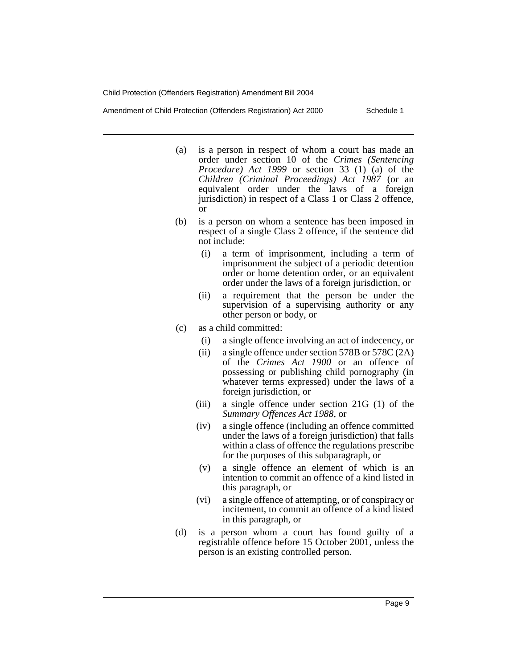Amendment of Child Protection (Offenders Registration) Act 2000 Schedule 1

- (a) is a person in respect of whom a court has made an order under section 10 of the *Crimes (Sentencing Procedure) Act 1999* or section 33 (1) (a) of the *Children (Criminal Proceedings) Act 1987* (or an equivalent order under the laws of a foreign jurisdiction) in respect of a Class 1 or Class 2 offence, or
- (b) is a person on whom a sentence has been imposed in respect of a single Class 2 offence, if the sentence did not include:
	- (i) a term of imprisonment, including a term of imprisonment the subject of a periodic detention order or home detention order, or an equivalent order under the laws of a foreign jurisdiction, or
	- (ii) a requirement that the person be under the supervision of a supervising authority or any other person or body, or
- (c) as a child committed:
	- (i) a single offence involving an act of indecency, or
	- (ii) a single offence under section 578B or 578C (2A) of the *Crimes Act 1900* or an offence of possessing or publishing child pornography (in whatever terms expressed) under the laws of a foreign jurisdiction, or
	- (iii) a single offence under section 21G (1) of the *Summary Offences Act 1988*, or
	- (iv) a single offence (including an offence committed under the laws of a foreign jurisdiction) that falls within a class of offence the regulations prescribe for the purposes of this subparagraph, or
	- (v) a single offence an element of which is an intention to commit an offence of a kind listed in this paragraph, or
	- (vi) a single offence of attempting, or of conspiracy or incitement, to commit an offence of a kind listed in this paragraph, or
- (d) is a person whom a court has found guilty of a registrable offence before 15 October 2001, unless the person is an existing controlled person.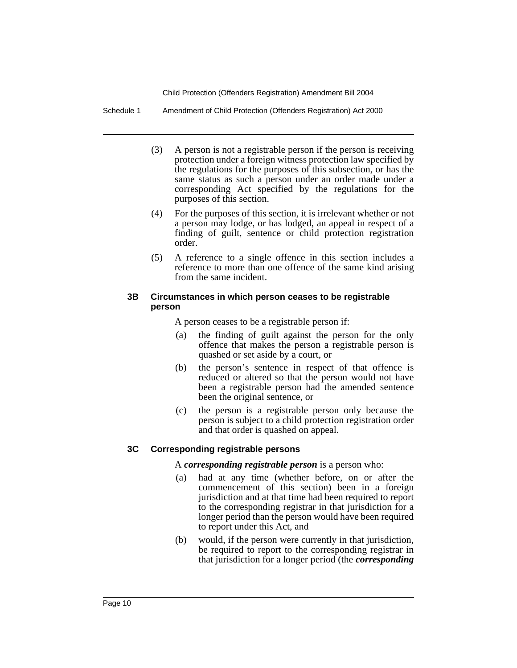Schedule 1 Amendment of Child Protection (Offenders Registration) Act 2000

- (3) A person is not a registrable person if the person is receiving protection under a foreign witness protection law specified by the regulations for the purposes of this subsection, or has the same status as such a person under an order made under a corresponding Act specified by the regulations for the purposes of this section.
- (4) For the purposes of this section, it is irrelevant whether or not a person may lodge, or has lodged, an appeal in respect of a finding of guilt, sentence or child protection registration order.
- (5) A reference to a single offence in this section includes a reference to more than one offence of the same kind arising from the same incident.

### **3B Circumstances in which person ceases to be registrable person**

A person ceases to be a registrable person if:

- (a) the finding of guilt against the person for the only offence that makes the person a registrable person is quashed or set aside by a court, or
- (b) the person's sentence in respect of that offence is reduced or altered so that the person would not have been a registrable person had the amended sentence been the original sentence, or
- (c) the person is a registrable person only because the person is subject to a child protection registration order and that order is quashed on appeal.

### **3C Corresponding registrable persons**

A *corresponding registrable person* is a person who:

- (a) had at any time (whether before, on or after the commencement of this section) been in a foreign jurisdiction and at that time had been required to report to the corresponding registrar in that jurisdiction for a longer period than the person would have been required to report under this Act, and
- (b) would, if the person were currently in that jurisdiction, be required to report to the corresponding registrar in that jurisdiction for a longer period (the *corresponding*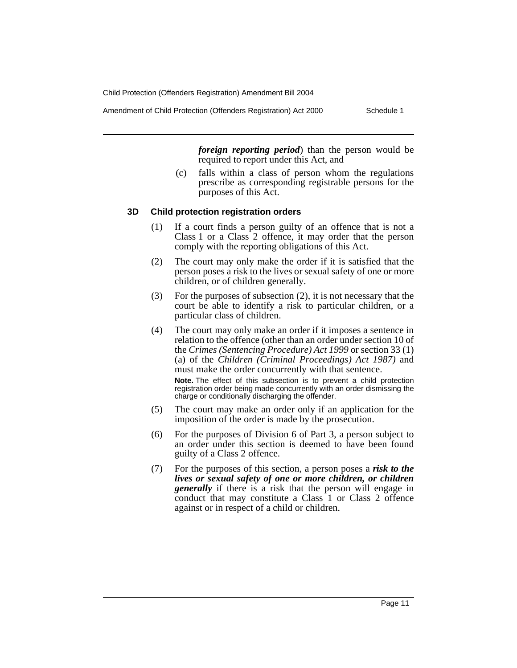Amendment of Child Protection (Offenders Registration) Act 2000 Schedule 1

*foreign reporting period*) than the person would be required to report under this Act, and

(c) falls within a class of person whom the regulations prescribe as corresponding registrable persons for the purposes of this Act.

### **3D Child protection registration orders**

- (1) If a court finds a person guilty of an offence that is not a Class 1 or a Class 2 offence, it may order that the person comply with the reporting obligations of this Act.
- (2) The court may only make the order if it is satisfied that the person poses a risk to the lives or sexual safety of one or more children, or of children generally.
- (3) For the purposes of subsection (2), it is not necessary that the court be able to identify a risk to particular children, or a particular class of children.
- (4) The court may only make an order if it imposes a sentence in relation to the offence (other than an order under section 10 of the *Crimes (Sentencing Procedure) Act 1999* or section 33 (1) (a) of the *Children (Criminal Proceedings) Act 1987)* and must make the order concurrently with that sentence.

**Note.** The effect of this subsection is to prevent a child protection registration order being made concurrently with an order dismissing the charge or conditionally discharging the offender.

- (5) The court may make an order only if an application for the imposition of the order is made by the prosecution.
- (6) For the purposes of Division 6 of Part 3, a person subject to an order under this section is deemed to have been found guilty of a Class 2 offence.
- (7) For the purposes of this section, a person poses a *risk to the lives or sexual safety of one or more children, or children generally* if there is a risk that the person will engage in conduct that may constitute a Class 1 or Class 2 offence against or in respect of a child or children.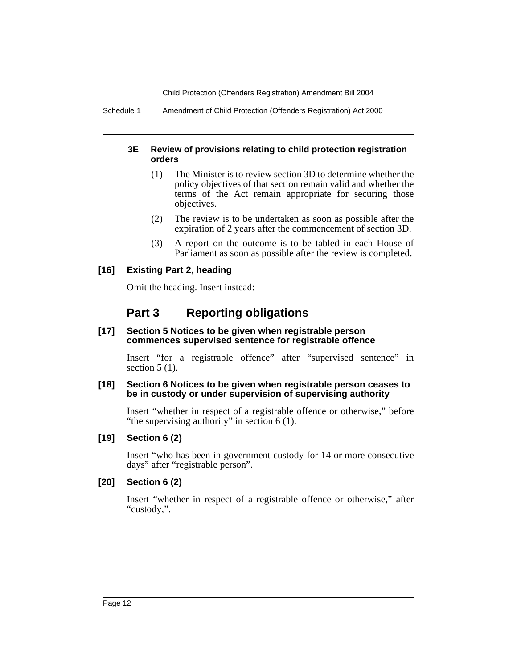Schedule 1 Amendment of Child Protection (Offenders Registration) Act 2000

## **3E Review of provisions relating to child protection registration orders**

- (1) The Minister is to review section 3D to determine whether the policy objectives of that section remain valid and whether the terms of the Act remain appropriate for securing those objectives.
- (2) The review is to be undertaken as soon as possible after the expiration of 2 years after the commencement of section 3D.
- (3) A report on the outcome is to be tabled in each House of Parliament as soon as possible after the review is completed.

## **[16] Existing Part 2, heading**

Omit the heading. Insert instead:

# **Part 3 Reporting obligations**

#### **[17] Section 5 Notices to be given when registrable person commences supervised sentence for registrable offence**

Insert "for a registrable offence" after "supervised sentence" in section  $5(1)$ .

#### **[18] Section 6 Notices to be given when registrable person ceases to be in custody or under supervision of supervising authority**

Insert "whether in respect of a registrable offence or otherwise," before "the supervising authority" in section 6 (1).

### **[19] Section 6 (2)**

Insert "who has been in government custody for 14 or more consecutive days" after "registrable person".

## **[20] Section 6 (2)**

Insert "whether in respect of a registrable offence or otherwise," after "custody,".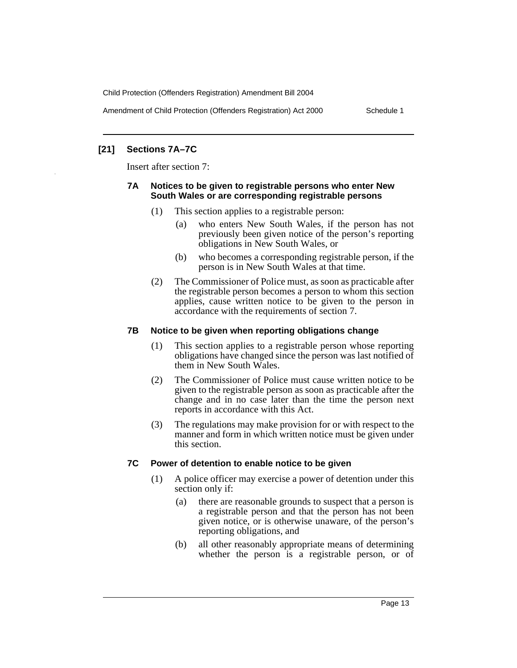Amendment of Child Protection (Offenders Registration) Act 2000 Schedule 1

## **[21] Sections 7A–7C**

Insert after section 7:

## **7A Notices to be given to registrable persons who enter New South Wales or are corresponding registrable persons**

- (1) This section applies to a registrable person:
	- (a) who enters New South Wales, if the person has not previously been given notice of the person's reporting obligations in New South Wales, or
	- (b) who becomes a corresponding registrable person, if the person is in New South Wales at that time.
- (2) The Commissioner of Police must, as soon as practicable after the registrable person becomes a person to whom this section applies, cause written notice to be given to the person in accordance with the requirements of section 7.

## **7B Notice to be given when reporting obligations change**

- (1) This section applies to a registrable person whose reporting obligations have changed since the person was last notified of them in New South Wales.
- (2) The Commissioner of Police must cause written notice to be given to the registrable person as soon as practicable after the change and in no case later than the time the person next reports in accordance with this Act.
- (3) The regulations may make provision for or with respect to the manner and form in which written notice must be given under this section.

## **7C Power of detention to enable notice to be given**

- (1) A police officer may exercise a power of detention under this section only if:
	- (a) there are reasonable grounds to suspect that a person is a registrable person and that the person has not been given notice, or is otherwise unaware, of the person's reporting obligations, and
	- (b) all other reasonably appropriate means of determining whether the person is a registrable person, or of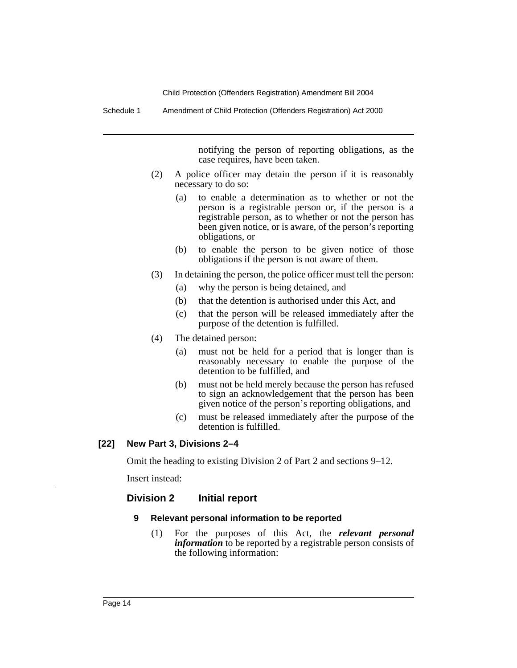Schedule 1 Amendment of Child Protection (Offenders Registration) Act 2000

notifying the person of reporting obligations, as the case requires, have been taken.

- (2) A police officer may detain the person if it is reasonably necessary to do so:
	- (a) to enable a determination as to whether or not the person is a registrable person or, if the person is a registrable person, as to whether or not the person has been given notice, or is aware, of the person's reporting obligations, or
	- (b) to enable the person to be given notice of those obligations if the person is not aware of them.
- (3) In detaining the person, the police officer must tell the person:
	- (a) why the person is being detained, and
	- (b) that the detention is authorised under this Act, and
	- (c) that the person will be released immediately after the purpose of the detention is fulfilled.
- (4) The detained person:
	- (a) must not be held for a period that is longer than is reasonably necessary to enable the purpose of the detention to be fulfilled, and
	- (b) must not be held merely because the person has refused to sign an acknowledgement that the person has been given notice of the person's reporting obligations, and
	- (c) must be released immediately after the purpose of the detention is fulfilled.

### **[22] New Part 3, Divisions 2–4**

Omit the heading to existing Division 2 of Part 2 and sections 9–12.

Insert instead:

### **Division 2 Initial report**

#### **9 Relevant personal information to be reported**

(1) For the purposes of this Act, the *relevant personal information* to be reported by a registrable person consists of the following information: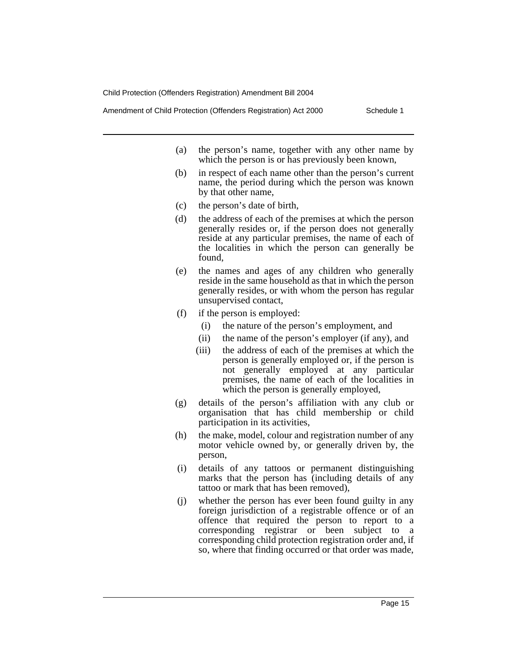Amendment of Child Protection (Offenders Registration) Act 2000 Schedule 1

- (a) the person's name, together with any other name by which the person is or has previously been known,
- (b) in respect of each name other than the person's current name, the period during which the person was known by that other name,
- (c) the person's date of birth,
- (d) the address of each of the premises at which the person generally resides or, if the person does not generally reside at any particular premises, the name of each of the localities in which the person can generally be found,
- (e) the names and ages of any children who generally reside in the same household as that in which the person generally resides, or with whom the person has regular unsupervised contact,
- (f) if the person is employed:
	- (i) the nature of the person's employment, and
	- (ii) the name of the person's employer (if any), and
	- (iii) the address of each of the premises at which the person is generally employed or, if the person is not generally employed at any particular premises, the name of each of the localities in which the person is generally employed,
- (g) details of the person's affiliation with any club or organisation that has child membership or child participation in its activities,
- (h) the make, model, colour and registration number of any motor vehicle owned by, or generally driven by, the person,
- (i) details of any tattoos or permanent distinguishing marks that the person has (including details of any tattoo or mark that has been removed),
- (j) whether the person has ever been found guilty in any foreign jurisdiction of a registrable offence or of an offence that required the person to report to a corresponding registrar or been subject to a corresponding child protection registration order and, if so, where that finding occurred or that order was made,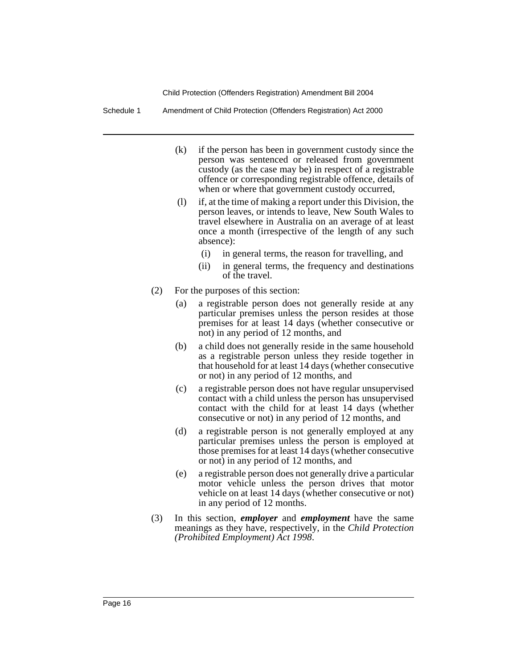Schedule 1 Amendment of Child Protection (Offenders Registration) Act 2000

- (k) if the person has been in government custody since the person was sentenced or released from government custody (as the case may be) in respect of a registrable offence or corresponding registrable offence, details of when or where that government custody occurred,
- (l) if, at the time of making a report under this Division, the person leaves, or intends to leave, New South Wales to travel elsewhere in Australia on an average of at least once a month (irrespective of the length of any such absence):
	- (i) in general terms, the reason for travelling, and
	- (ii) in general terms, the frequency and destinations of the travel.
- (2) For the purposes of this section:
	- (a) a registrable person does not generally reside at any particular premises unless the person resides at those premises for at least 14 days (whether consecutive or not) in any period of 12 months, and
	- (b) a child does not generally reside in the same household as a registrable person unless they reside together in that household for at least 14 days (whether consecutive or not) in any period of 12 months, and
	- (c) a registrable person does not have regular unsupervised contact with a child unless the person has unsupervised contact with the child for at least 14 days (whether consecutive or not) in any period of 12 months, and
	- (d) a registrable person is not generally employed at any particular premises unless the person is employed at those premises for at least 14 days (whether consecutive or not) in any period of 12 months, and
	- (e) a registrable person does not generally drive a particular motor vehicle unless the person drives that motor vehicle on at least 14 days (whether consecutive or not) in any period of 12 months.
- (3) In this section, *employer* and *employment* have the same meanings as they have, respectively, in the *Child Protection (Prohibited Employment) Act 1998*.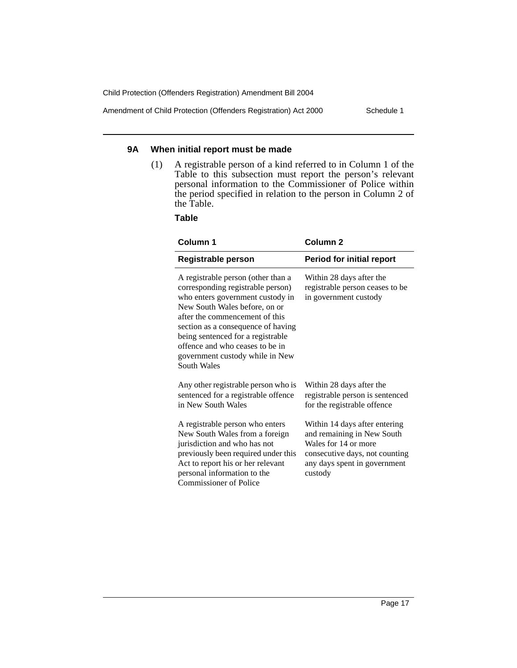Amendment of Child Protection (Offenders Registration) Act 2000 Schedule 1

#### **9A When initial report must be made**

(1) A registrable person of a kind referred to in Column 1 of the Table to this subsection must report the person's relevant personal information to the Commissioner of Police within the period specified in relation to the person in Column 2 of the Table.

**Table**

| <b>Column 1</b>                                                                                                                                                                                                                                                                                                                                | Column 2                                                                                                                                                         |  |
|------------------------------------------------------------------------------------------------------------------------------------------------------------------------------------------------------------------------------------------------------------------------------------------------------------------------------------------------|------------------------------------------------------------------------------------------------------------------------------------------------------------------|--|
| <b>Registrable person</b>                                                                                                                                                                                                                                                                                                                      | <b>Period for initial report</b>                                                                                                                                 |  |
| A registrable person (other than a<br>corresponding registrable person)<br>who enters government custody in<br>New South Wales before, on or<br>after the commencement of this<br>section as a consequence of having<br>being sentenced for a registrable<br>offence and who ceases to be in<br>government custody while in New<br>South Wales | Within 28 days after the<br>registrable person ceases to be<br>in government custody                                                                             |  |
| Any other registrable person who is<br>sentenced for a registrable offence<br>in New South Wales                                                                                                                                                                                                                                               | Within 28 days after the<br>registrable person is sentenced<br>for the registrable offence                                                                       |  |
| A registrable person who enters<br>New South Wales from a foreign<br>jurisdiction and who has not<br>previously been required under this<br>Act to report his or her relevant<br>personal information to the<br><b>Commissioner of Police</b>                                                                                                  | Within 14 days after entering<br>and remaining in New South<br>Wales for 14 or more<br>consecutive days, not counting<br>any days spent in government<br>custody |  |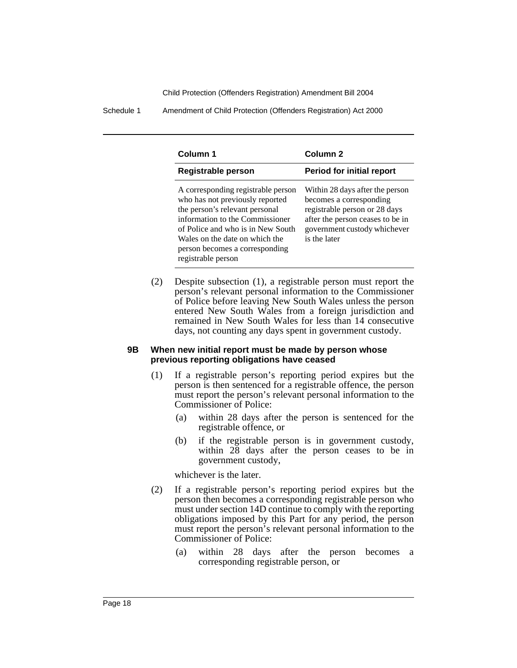Schedule 1 Amendment of Child Protection (Offenders Registration) Act 2000

| Column 1                                                                                                                                                                                                                                                                  | Column <sub>2</sub>                                                                                                                                                             |  |
|---------------------------------------------------------------------------------------------------------------------------------------------------------------------------------------------------------------------------------------------------------------------------|---------------------------------------------------------------------------------------------------------------------------------------------------------------------------------|--|
| <b>Registrable person</b>                                                                                                                                                                                                                                                 | <b>Period for initial report</b>                                                                                                                                                |  |
| A corresponding registrable person<br>who has not previously reported<br>the person's relevant personal<br>information to the Commissioner<br>of Police and who is in New South<br>Wales on the date on which the<br>person becomes a corresponding<br>registrable person | Within 28 days after the person<br>becomes a corresponding<br>registrable person or 28 days<br>after the person ceases to be in<br>government custody whichever<br>is the later |  |

(2) Despite subsection (1), a registrable person must report the person's relevant personal information to the Commissioner of Police before leaving New South Wales unless the person entered New South Wales from a foreign jurisdiction and remained in New South Wales for less than 14 consecutive days, not counting any days spent in government custody.

#### **9B When new initial report must be made by person whose previous reporting obligations have ceased**

- (1) If a registrable person's reporting period expires but the person is then sentenced for a registrable offence, the person must report the person's relevant personal information to the Commissioner of Police:
	- (a) within 28 days after the person is sentenced for the registrable offence, or
	- (b) if the registrable person is in government custody, within 28 days after the person ceases to be in government custody,

whichever is the later.

- (2) If a registrable person's reporting period expires but the person then becomes a corresponding registrable person who must under section 14D continue to comply with the reporting obligations imposed by this Part for any period, the person must report the person's relevant personal information to the Commissioner of Police:
	- (a) within 28 days after the person becomes a corresponding registrable person, or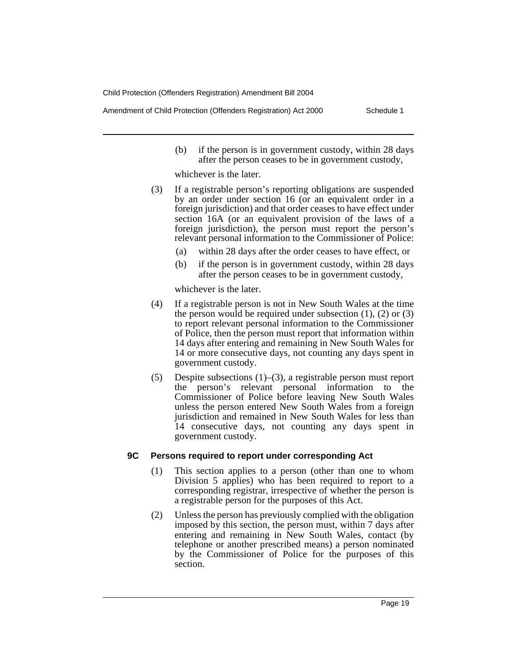Amendment of Child Protection (Offenders Registration) Act 2000 Schedule 1

(b) if the person is in government custody, within 28 days after the person ceases to be in government custody,

whichever is the later.

- (3) If a registrable person's reporting obligations are suspended by an order under section 16 (or an equivalent order in a foreign jurisdiction) and that order ceases to have effect under section 16A (or an equivalent provision of the laws of a foreign jurisdiction), the person must report the person's relevant personal information to the Commissioner of Police:
	- (a) within 28 days after the order ceases to have effect, or
	- (b) if the person is in government custody, within 28 days after the person ceases to be in government custody,

whichever is the later.

- (4) If a registrable person is not in New South Wales at the time the person would be required under subsection  $(1)$ ,  $(2)$  or  $(3)$ to report relevant personal information to the Commissioner of Police, then the person must report that information within 14 days after entering and remaining in New South Wales for 14 or more consecutive days, not counting any days spent in government custody.
- (5) Despite subsections (1)–(3), a registrable person must report the person's relevant personal information to the Commissioner of Police before leaving New South Wales unless the person entered New South Wales from a foreign jurisdiction and remained in New South Wales for less than 14 consecutive days, not counting any days spent in government custody.

### **9C Persons required to report under corresponding Act**

- (1) This section applies to a person (other than one to whom Division 5 applies) who has been required to report to a corresponding registrar, irrespective of whether the person is a registrable person for the purposes of this Act.
- (2) Unless the person has previously complied with the obligation imposed by this section, the person must, within 7 days after entering and remaining in New South Wales, contact (by telephone or another prescribed means) a person nominated by the Commissioner of Police for the purposes of this section.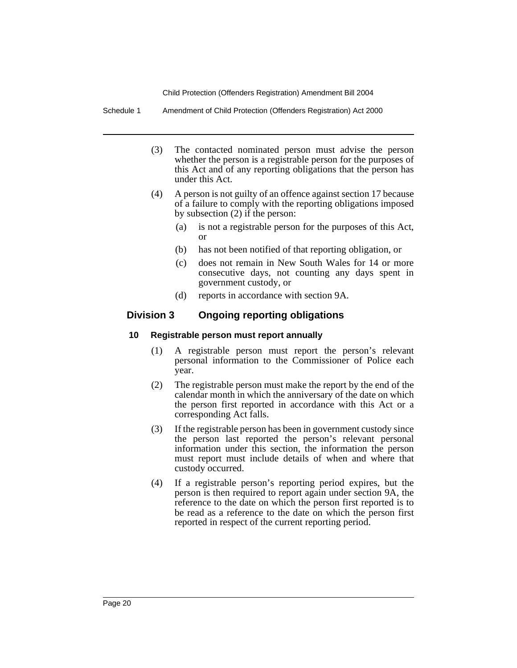Schedule 1 Amendment of Child Protection (Offenders Registration) Act 2000

- (3) The contacted nominated person must advise the person whether the person is a registrable person for the purposes of this Act and of any reporting obligations that the person has under this Act.
- (4) A person is not guilty of an offence against section 17 because of a failure to comply with the reporting obligations imposed by subsection (2) if the person:
	- (a) is not a registrable person for the purposes of this Act, or
	- (b) has not been notified of that reporting obligation, or
	- (c) does not remain in New South Wales for 14 or more consecutive days, not counting any days spent in government custody, or
	- (d) reports in accordance with section 9A.

## **Division 3 Ongoing reporting obligations**

## **10 Registrable person must report annually**

- (1) A registrable person must report the person's relevant personal information to the Commissioner of Police each year.
- (2) The registrable person must make the report by the end of the calendar month in which the anniversary of the date on which the person first reported in accordance with this Act or a corresponding Act falls.
- (3) If the registrable person has been in government custody since the person last reported the person's relevant personal information under this section, the information the person must report must include details of when and where that custody occurred.
- (4) If a registrable person's reporting period expires, but the person is then required to report again under section 9A, the reference to the date on which the person first reported is to be read as a reference to the date on which the person first reported in respect of the current reporting period.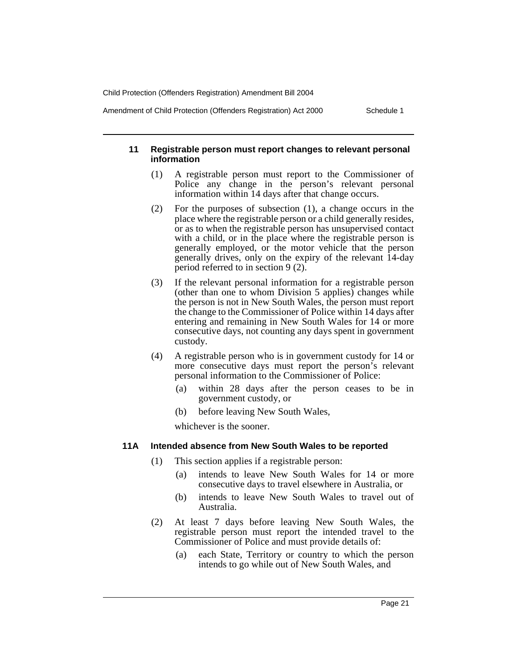Amendment of Child Protection (Offenders Registration) Act 2000 Schedule 1

### **11 Registrable person must report changes to relevant personal information**

- (1) A registrable person must report to the Commissioner of Police any change in the person's relevant personal information within 14 days after that change occurs.
- (2) For the purposes of subsection (1), a change occurs in the place where the registrable person or a child generally resides, or as to when the registrable person has unsupervised contact with a child, or in the place where the registrable person is generally employed, or the motor vehicle that the person generally drives, only on the expiry of the relevant 14-day period referred to in section 9 (2).
- (3) If the relevant personal information for a registrable person (other than one to whom Division 5 applies) changes while the person is not in New South Wales, the person must report the change to the Commissioner of Police within 14 days after entering and remaining in New South Wales for 14 or more consecutive days, not counting any days spent in government custody.
- (4) A registrable person who is in government custody for 14 or more consecutive days must report the person's relevant personal information to the Commissioner of Police:
	- (a) within 28 days after the person ceases to be in government custody, or
	- (b) before leaving New South Wales,

whichever is the sooner.

### **11A Intended absence from New South Wales to be reported**

- (1) This section applies if a registrable person:
	- (a) intends to leave New South Wales for 14 or more consecutive days to travel elsewhere in Australia, or
	- (b) intends to leave New South Wales to travel out of Australia.
- (2) At least 7 days before leaving New South Wales, the registrable person must report the intended travel to the Commissioner of Police and must provide details of:
	- (a) each State, Territory or country to which the person intends to go while out of New South Wales, and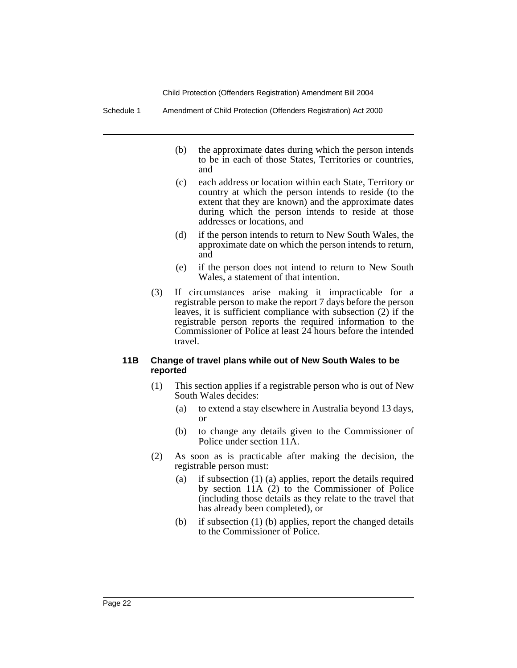Schedule 1 Amendment of Child Protection (Offenders Registration) Act 2000

- (b) the approximate dates during which the person intends to be in each of those States, Territories or countries, and
- (c) each address or location within each State, Territory or country at which the person intends to reside (to the extent that they are known) and the approximate dates during which the person intends to reside at those addresses or locations, and
- (d) if the person intends to return to New South Wales, the approximate date on which the person intends to return, and
- (e) if the person does not intend to return to New South Wales, a statement of that intention.
- (3) If circumstances arise making it impracticable for a registrable person to make the report 7 days before the person leaves, it is sufficient compliance with subsection (2) if the registrable person reports the required information to the Commissioner of Police at least 24 hours before the intended travel.

#### **11B Change of travel plans while out of New South Wales to be reported**

- (1) This section applies if a registrable person who is out of New South Wales decides:
	- (a) to extend a stay elsewhere in Australia beyond 13 days, or
	- (b) to change any details given to the Commissioner of Police under section 11A.
- (2) As soon as is practicable after making the decision, the registrable person must:
	- (a) if subsection (1) (a) applies, report the details required by section 11A (2) to the Commissioner of Police (including those details as they relate to the travel that has already been completed), or
	- (b) if subsection (1) (b) applies, report the changed details to the Commissioner of Police.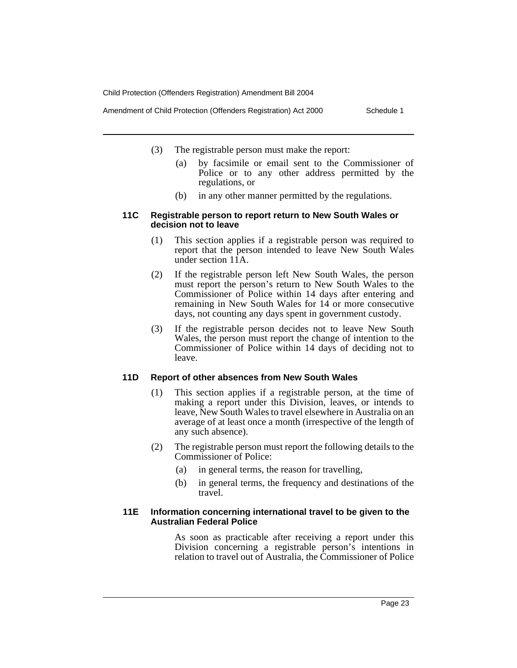Amendment of Child Protection (Offenders Registration) Act 2000 Schedule 1

- (3) The registrable person must make the report:
	- (a) by facsimile or email sent to the Commissioner of Police or to any other address permitted by the regulations, or
	- (b) in any other manner permitted by the regulations.

#### **11C Registrable person to report return to New South Wales or decision not to leave**

- (1) This section applies if a registrable person was required to report that the person intended to leave New South Wales under section 11A.
- (2) If the registrable person left New South Wales, the person must report the person's return to New South Wales to the Commissioner of Police within 14 days after entering and remaining in New South Wales for 14 or more consecutive days, not counting any days spent in government custody.
- (3) If the registrable person decides not to leave New South Wales, the person must report the change of intention to the Commissioner of Police within 14 days of deciding not to leave.

### **11D Report of other absences from New South Wales**

- (1) This section applies if a registrable person, at the time of making a report under this Division, leaves, or intends to leave, New South Wales to travel elsewhere in Australia on an average of at least once a month (irrespective of the length of any such absence).
- (2) The registrable person must report the following details to the Commissioner of Police:
	- (a) in general terms, the reason for travelling,
	- (b) in general terms, the frequency and destinations of the travel.

### **11E Information concerning international travel to be given to the Australian Federal Police**

As soon as practicable after receiving a report under this Division concerning a registrable person's intentions in relation to travel out of Australia, the Commissioner of Police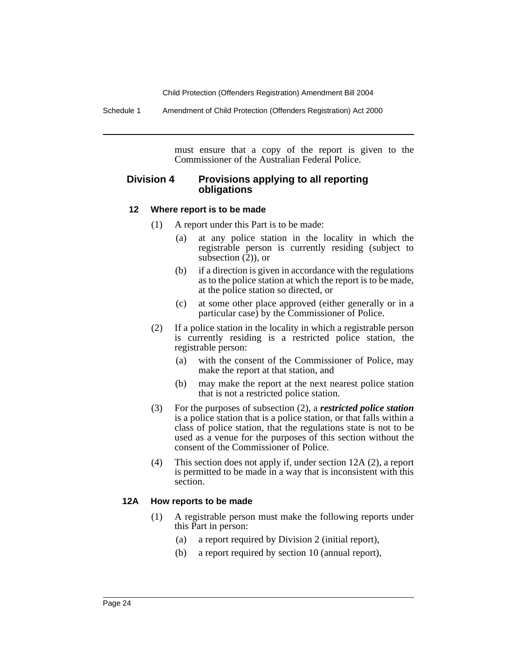Schedule 1 Amendment of Child Protection (Offenders Registration) Act 2000

must ensure that a copy of the report is given to the Commissioner of the Australian Federal Police.

## **Division 4 Provisions applying to all reporting obligations**

#### **12 Where report is to be made**

- (1) A report under this Part is to be made:
	- (a) at any police station in the locality in which the registrable person is currently residing (subject to subsection (2)), or
	- (b) if a direction is given in accordance with the regulations as to the police station at which the report is to be made, at the police station so directed, or
	- (c) at some other place approved (either generally or in a particular case) by the Commissioner of Police.
- (2) If a police station in the locality in which a registrable person is currently residing is a restricted police station, the registrable person:
	- (a) with the consent of the Commissioner of Police, may make the report at that station, and
	- (b) may make the report at the next nearest police station that is not a restricted police station.
- (3) For the purposes of subsection (2), a *restricted police station* is a police station that is a police station, or that falls within a class of police station, that the regulations state is not to be used as a venue for the purposes of this section without the consent of the Commissioner of Police.
- (4) This section does not apply if, under section 12A (2), a report is permitted to be made in a way that is inconsistent with this section.

#### **12A How reports to be made**

- (1) A registrable person must make the following reports under this Part in person:
	- (a) a report required by Division 2 (initial report),
	- (b) a report required by section 10 (annual report),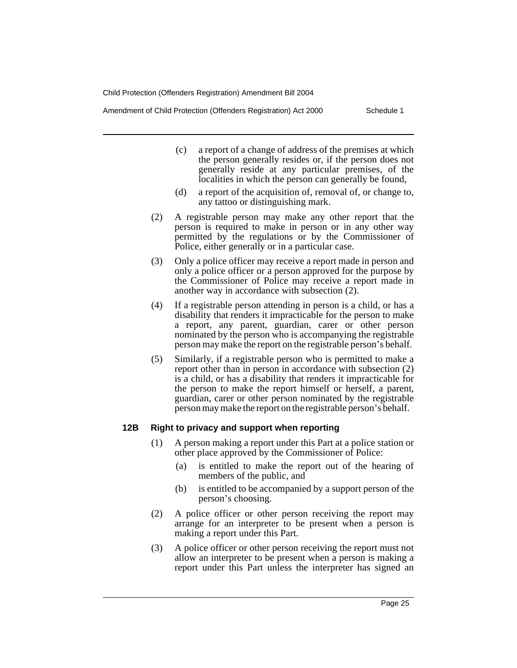Amendment of Child Protection (Offenders Registration) Act 2000 Schedule 1

- (c) a report of a change of address of the premises at which the person generally resides or, if the person does not generally reside at any particular premises, of the localities in which the person can generally be found,
- (d) a report of the acquisition of, removal of, or change to, any tattoo or distinguishing mark.
- (2) A registrable person may make any other report that the person is required to make in person or in any other way permitted by the regulations or by the Commissioner of Police, either generally or in a particular case.
- (3) Only a police officer may receive a report made in person and only a police officer or a person approved for the purpose by the Commissioner of Police may receive a report made in another way in accordance with subsection (2).
- (4) If a registrable person attending in person is a child, or has a disability that renders it impracticable for the person to make a report, any parent, guardian, carer or other person nominated by the person who is accompanying the registrable person may make the report on the registrable person's behalf.
- (5) Similarly, if a registrable person who is permitted to make a report other than in person in accordance with subsection (2) is a child, or has a disability that renders it impracticable for the person to make the report himself or herself, a parent, guardian, carer or other person nominated by the registrable person may make the report on the registrable person's behalf.

### **12B Right to privacy and support when reporting**

- (1) A person making a report under this Part at a police station or other place approved by the Commissioner of Police:
	- (a) is entitled to make the report out of the hearing of members of the public, and
	- (b) is entitled to be accompanied by a support person of the person's choosing.
- (2) A police officer or other person receiving the report may arrange for an interpreter to be present when a person is making a report under this Part.
- (3) A police officer or other person receiving the report must not allow an interpreter to be present when a person is making a report under this Part unless the interpreter has signed an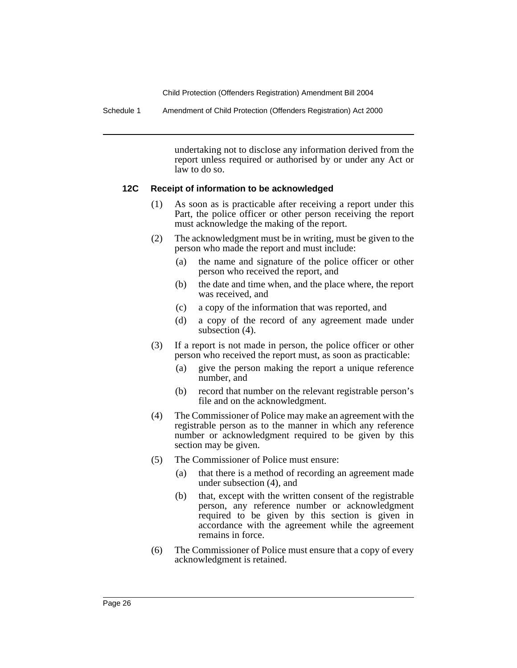Schedule 1 Amendment of Child Protection (Offenders Registration) Act 2000

undertaking not to disclose any information derived from the report unless required or authorised by or under any Act or law to do so.

#### **12C Receipt of information to be acknowledged**

- (1) As soon as is practicable after receiving a report under this Part, the police officer or other person receiving the report must acknowledge the making of the report.
- (2) The acknowledgment must be in writing, must be given to the person who made the report and must include:
	- (a) the name and signature of the police officer or other person who received the report, and
	- (b) the date and time when, and the place where, the report was received, and
	- (c) a copy of the information that was reported, and
	- (d) a copy of the record of any agreement made under subsection (4).
- (3) If a report is not made in person, the police officer or other person who received the report must, as soon as practicable:
	- (a) give the person making the report a unique reference number, and
	- (b) record that number on the relevant registrable person's file and on the acknowledgment.
- (4) The Commissioner of Police may make an agreement with the registrable person as to the manner in which any reference number or acknowledgment required to be given by this section may be given.
- (5) The Commissioner of Police must ensure:
	- (a) that there is a method of recording an agreement made under subsection (4), and
	- (b) that, except with the written consent of the registrable person, any reference number or acknowledgment required to be given by this section is given in accordance with the agreement while the agreement remains in force.
- (6) The Commissioner of Police must ensure that a copy of every acknowledgment is retained.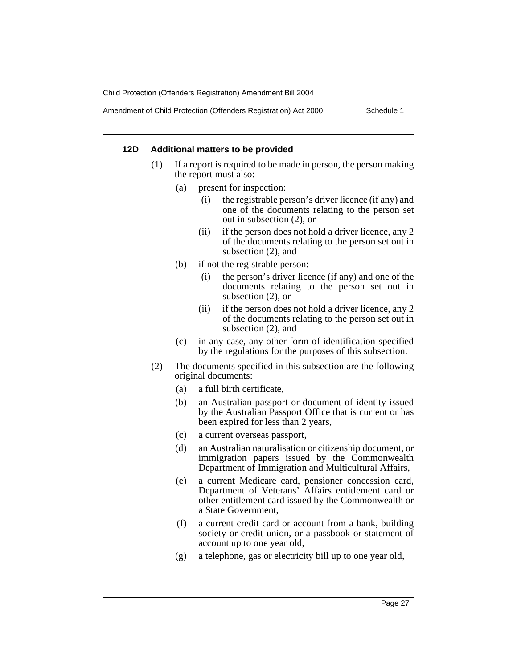Amendment of Child Protection (Offenders Registration) Act 2000 Schedule 1

#### **12D Additional matters to be provided**

- (1) If a report is required to be made in person, the person making the report must also:
	- (a) present for inspection:
		- (i) the registrable person's driver licence (if any) and one of the documents relating to the person set out in subsection (2), or
		- (ii) if the person does not hold a driver licence, any 2 of the documents relating to the person set out in subsection (2), and
	- (b) if not the registrable person:
		- (i) the person's driver licence (if any) and one of the documents relating to the person set out in subsection (2), or
		- (ii) if the person does not hold a driver licence, any 2 of the documents relating to the person set out in subsection (2), and
	- (c) in any case, any other form of identification specified by the regulations for the purposes of this subsection.
- (2) The documents specified in this subsection are the following original documents:
	- (a) a full birth certificate,
	- (b) an Australian passport or document of identity issued by the Australian Passport Office that is current or has been expired for less than 2 years,
	- (c) a current overseas passport,
	- (d) an Australian naturalisation or citizenship document, or immigration papers issued by the Commonwealth Department of Immigration and Multicultural Affairs,
	- (e) a current Medicare card, pensioner concession card, Department of Veterans' Affairs entitlement card or other entitlement card issued by the Commonwealth or a State Government,
	- (f) a current credit card or account from a bank, building society or credit union, or a passbook or statement of account up to one year old,
	- (g) a telephone, gas or electricity bill up to one year old,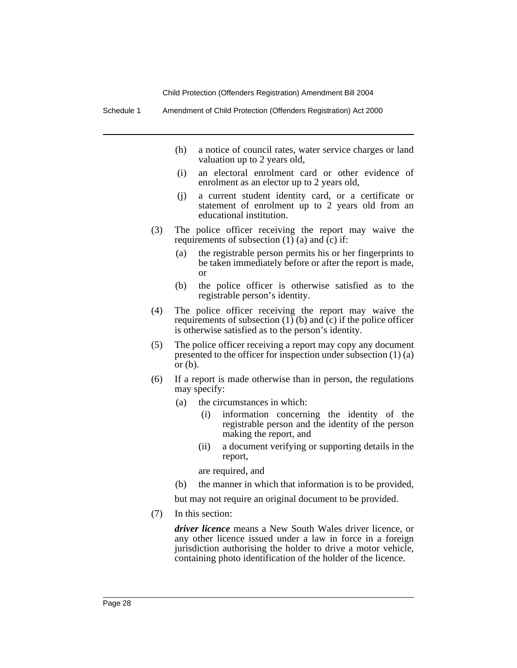Schedule 1 Amendment of Child Protection (Offenders Registration) Act 2000

- (h) a notice of council rates, water service charges or land valuation up to 2 years old,
- (i) an electoral enrolment card or other evidence of enrolment as an elector up to 2 years old,
- (j) a current student identity card, or a certificate or statement of enrolment up to 2 years old from an educational institution.
- (3) The police officer receiving the report may waive the requirements of subsection (1) (a) and (c) if:
	- (a) the registrable person permits his or her fingerprints to be taken immediately before or after the report is made, or
	- (b) the police officer is otherwise satisfied as to the registrable person's identity.
- (4) The police officer receiving the report may waive the requirements of subsection  $(1)$  (b) and (c) if the police officer is otherwise satisfied as to the person's identity.
- (5) The police officer receiving a report may copy any document presented to the officer for inspection under subsection (1) (a) or  $(b)$ .
- (6) If a report is made otherwise than in person, the regulations may specify:
	- (a) the circumstances in which:
		- (i) information concerning the identity of the registrable person and the identity of the person making the report, and
		- (ii) a document verifying or supporting details in the report,

are required, and

(b) the manner in which that information is to be provided,

but may not require an original document to be provided.

(7) In this section:

*driver licence* means a New South Wales driver licence, or any other licence issued under a law in force in a foreign jurisdiction authorising the holder to drive a motor vehicle, containing photo identification of the holder of the licence.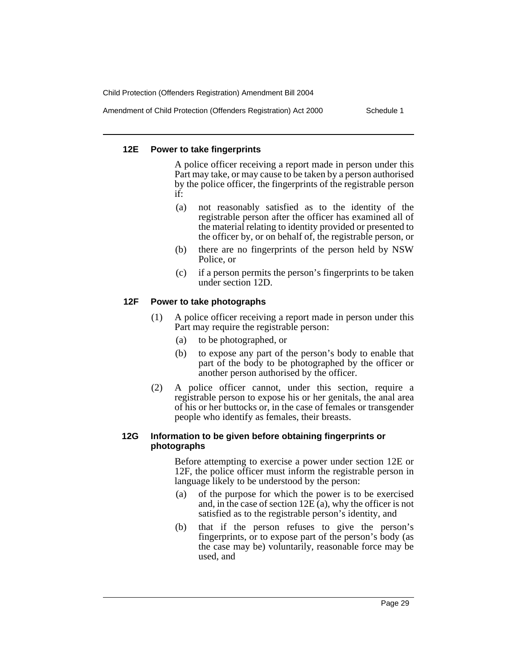Amendment of Child Protection (Offenders Registration) Act 2000 Schedule 1

### **12E Power to take fingerprints**

A police officer receiving a report made in person under this Part may take, or may cause to be taken by a person authorised by the police officer, the fingerprints of the registrable person if:

- (a) not reasonably satisfied as to the identity of the registrable person after the officer has examined all of the material relating to identity provided or presented to the officer by, or on behalf of, the registrable person, or
- (b) there are no fingerprints of the person held by NSW Police, or
- (c) if a person permits the person's fingerprints to be taken under section 12D.

### **12F Power to take photographs**

- (1) A police officer receiving a report made in person under this Part may require the registrable person:
	- (a) to be photographed, or
	- (b) to expose any part of the person's body to enable that part of the body to be photographed by the officer or another person authorised by the officer.
- (2) A police officer cannot, under this section, require a registrable person to expose his or her genitals, the anal area of his or her buttocks or, in the case of females or transgender people who identify as females, their breasts.

#### **12G Information to be given before obtaining fingerprints or photographs**

Before attempting to exercise a power under section 12E or 12F, the police officer must inform the registrable person in language likely to be understood by the person:

- (a) of the purpose for which the power is to be exercised and, in the case of section 12E (a), why the officer is not satisfied as to the registrable person's identity, and
- (b) that if the person refuses to give the person's fingerprints, or to expose part of the person's body (as the case may be) voluntarily, reasonable force may be used, and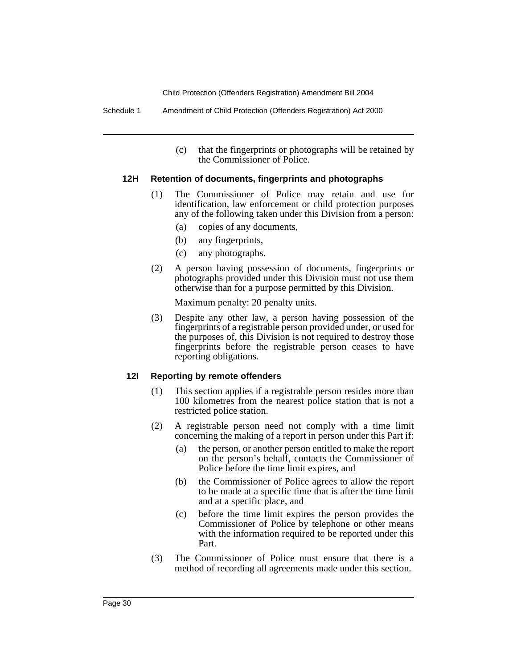Schedule 1 Amendment of Child Protection (Offenders Registration) Act 2000

(c) that the fingerprints or photographs will be retained by the Commissioner of Police.

### **12H Retention of documents, fingerprints and photographs**

- (1) The Commissioner of Police may retain and use for identification, law enforcement or child protection purposes any of the following taken under this Division from a person:
	- (a) copies of any documents,
	- (b) any fingerprints,
	- (c) any photographs.
- (2) A person having possession of documents, fingerprints or photographs provided under this Division must not use them otherwise than for a purpose permitted by this Division.

Maximum penalty: 20 penalty units.

(3) Despite any other law, a person having possession of the fingerprints of a registrable person provided under, or used for the purposes of, this Division is not required to destroy those fingerprints before the registrable person ceases to have reporting obligations.

### **12I Reporting by remote offenders**

- (1) This section applies if a registrable person resides more than 100 kilometres from the nearest police station that is not a restricted police station.
- (2) A registrable person need not comply with a time limit concerning the making of a report in person under this Part if:
	- (a) the person, or another person entitled to make the report on the person's behalf, contacts the Commissioner of Police before the time limit expires, and
	- (b) the Commissioner of Police agrees to allow the report to be made at a specific time that is after the time limit and at a specific place, and
	- (c) before the time limit expires the person provides the Commissioner of Police by telephone or other means with the information required to be reported under this Part.
- (3) The Commissioner of Police must ensure that there is a method of recording all agreements made under this section.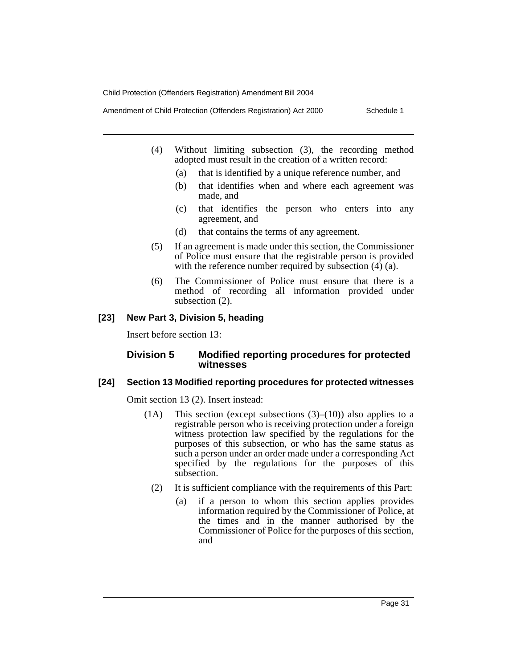Amendment of Child Protection (Offenders Registration) Act 2000 Schedule 1

- (4) Without limiting subsection (3), the recording method adopted must result in the creation of a written record:
	- (a) that is identified by a unique reference number, and
	- (b) that identifies when and where each agreement was made, and
	- (c) that identifies the person who enters into any agreement, and
	- (d) that contains the terms of any agreement.
- (5) If an agreement is made under this section, the Commissioner of Police must ensure that the registrable person is provided with the reference number required by subsection  $(4)$   $(a)$ .
- (6) The Commissioner of Police must ensure that there is a method of recording all information provided under subsection (2).

#### **[23] New Part 3, Division 5, heading**

Insert before section 13:

### **Division 5 Modified reporting procedures for protected witnesses**

#### **[24] Section 13 Modified reporting procedures for protected witnesses**

Omit section 13 (2). Insert instead:

- (1A) This section (except subsections  $(3)$ – $(10)$ ) also applies to a registrable person who is receiving protection under a foreign witness protection law specified by the regulations for the purposes of this subsection, or who has the same status as such a person under an order made under a corresponding Act specified by the regulations for the purposes of this subsection.
	- (2) It is sufficient compliance with the requirements of this Part:
		- (a) if a person to whom this section applies provides information required by the Commissioner of Police, at the times and in the manner authorised by the Commissioner of Police for the purposes of this section, and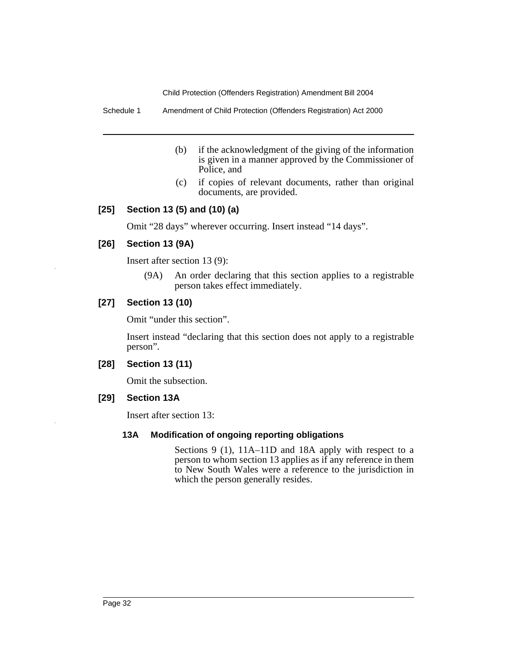Schedule 1 Amendment of Child Protection (Offenders Registration) Act 2000

- (b) if the acknowledgment of the giving of the information is given in a manner approved by the Commissioner of Police, and
- (c) if copies of relevant documents, rather than original documents, are provided.

## **[25] Section 13 (5) and (10) (a)**

Omit "28 days" wherever occurring. Insert instead "14 days".

## **[26] Section 13 (9A)**

Insert after section 13 (9):

(9A) An order declaring that this section applies to a registrable person takes effect immediately.

## **[27] Section 13 (10)**

Omit "under this section".

Insert instead "declaring that this section does not apply to a registrable person".

## **[28] Section 13 (11)**

Omit the subsection.

### **[29] Section 13A**

Insert after section 13:

### **13A Modification of ongoing reporting obligations**

Sections 9 (1), 11A–11D and 18A apply with respect to a person to whom section 13 applies as if any reference in them to New South Wales were a reference to the jurisdiction in which the person generally resides.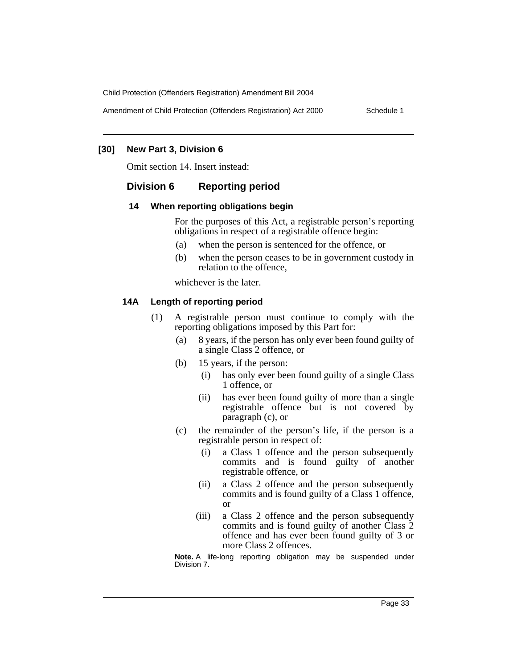Amendment of Child Protection (Offenders Registration) Act 2000 Schedule 1

#### **[30] New Part 3, Division 6**

Omit section 14. Insert instead:

### **Division 6 Reporting period**

#### **14 When reporting obligations begin**

For the purposes of this Act, a registrable person's reporting obligations in respect of a registrable offence begin:

- (a) when the person is sentenced for the offence, or
- (b) when the person ceases to be in government custody in relation to the offence,

whichever is the later.

#### **14A Length of reporting period**

- (1) A registrable person must continue to comply with the reporting obligations imposed by this Part for:
	- (a) 8 years, if the person has only ever been found guilty of a single Class 2 offence, or
	- (b) 15 years, if the person:
		- (i) has only ever been found guilty of a single Class 1 offence, or
		- (ii) has ever been found guilty of more than a single registrable offence but is not covered by paragraph (c), or
	- (c) the remainder of the person's life, if the person is a registrable person in respect of:
		- (i) a Class 1 offence and the person subsequently commits and is found guilty of another registrable offence, or
		- (ii) a Class 2 offence and the person subsequently commits and is found guilty of a Class 1 offence, or
		- (iii) a Class 2 offence and the person subsequently commits and is found guilty of another Class 2 offence and has ever been found guilty of 3 or more Class 2 offences.

**Note.** A life-long reporting obligation may be suspended under Division 7.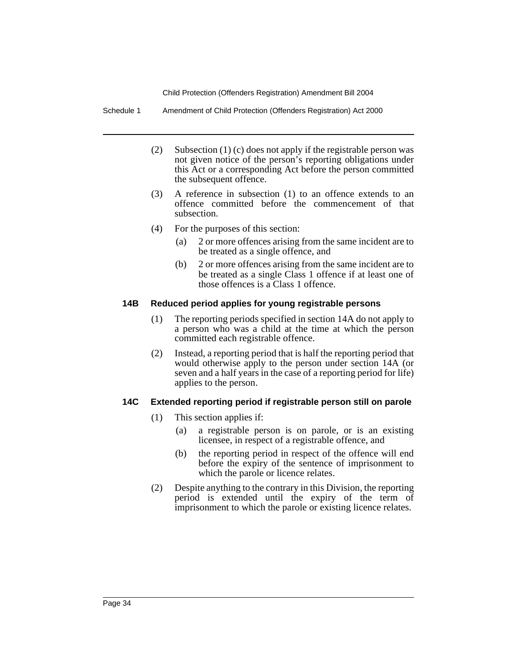Schedule 1 Amendment of Child Protection (Offenders Registration) Act 2000

- (2) Subsection (1) (c) does not apply if the registrable person was not given notice of the person's reporting obligations under this Act or a corresponding Act before the person committed the subsequent offence.
- (3) A reference in subsection (1) to an offence extends to an offence committed before the commencement of that subsection.
- (4) For the purposes of this section:
	- (a) 2 or more offences arising from the same incident are to be treated as a single offence, and
	- (b) 2 or more offences arising from the same incident are to be treated as a single Class 1 offence if at least one of those offences is a Class 1 offence.

## **14B Reduced period applies for young registrable persons**

- (1) The reporting periods specified in section 14A do not apply to a person who was a child at the time at which the person committed each registrable offence.
- (2) Instead, a reporting period that is half the reporting period that would otherwise apply to the person under section 14A (or seven and a half years in the case of a reporting period for life) applies to the person.

## **14C Extended reporting period if registrable person still on parole**

- (1) This section applies if:
	- (a) a registrable person is on parole, or is an existing licensee, in respect of a registrable offence, and
	- (b) the reporting period in respect of the offence will end before the expiry of the sentence of imprisonment to which the parole or licence relates.
- (2) Despite anything to the contrary in this Division, the reporting period is extended until the expiry of the term of imprisonment to which the parole or existing licence relates.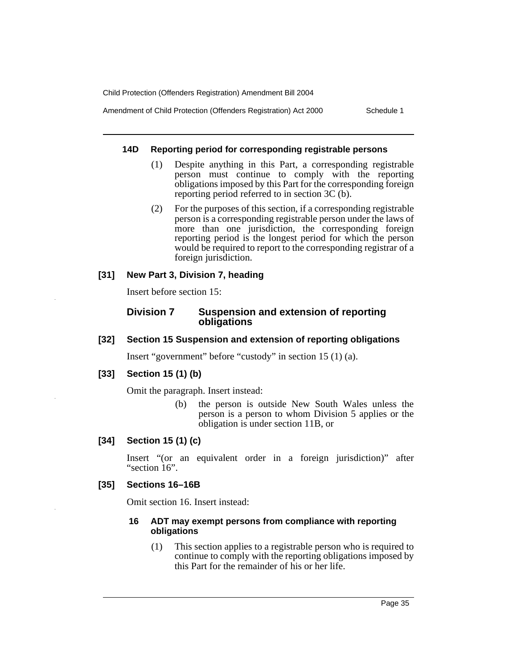Amendment of Child Protection (Offenders Registration) Act 2000 Schedule 1

#### **14D Reporting period for corresponding registrable persons**

- (1) Despite anything in this Part, a corresponding registrable person must continue to comply with the reporting obligations imposed by this Part for the corresponding foreign reporting period referred to in section 3C (b).
- (2) For the purposes of this section, if a corresponding registrable person is a corresponding registrable person under the laws of more than one jurisdiction, the corresponding foreign reporting period is the longest period for which the person would be required to report to the corresponding registrar of a foreign jurisdiction.

## **[31] New Part 3, Division 7, heading**

Insert before section 15:

## **Division 7 Suspension and extension of reporting obligations**

## **[32] Section 15 Suspension and extension of reporting obligations**

Insert "government" before "custody" in section 15 (1) (a).

## **[33] Section 15 (1) (b)**

Omit the paragraph. Insert instead:

(b) the person is outside New South Wales unless the person is a person to whom Division 5 applies or the obligation is under section 11B, or

## **[34] Section 15 (1) (c)**

Insert "(or an equivalent order in a foreign jurisdiction)" after "section 16".

### **[35] Sections 16–16B**

Omit section 16. Insert instead:

#### **16 ADT may exempt persons from compliance with reporting obligations**

(1) This section applies to a registrable person who is required to continue to comply with the reporting obligations imposed by this Part for the remainder of his or her life.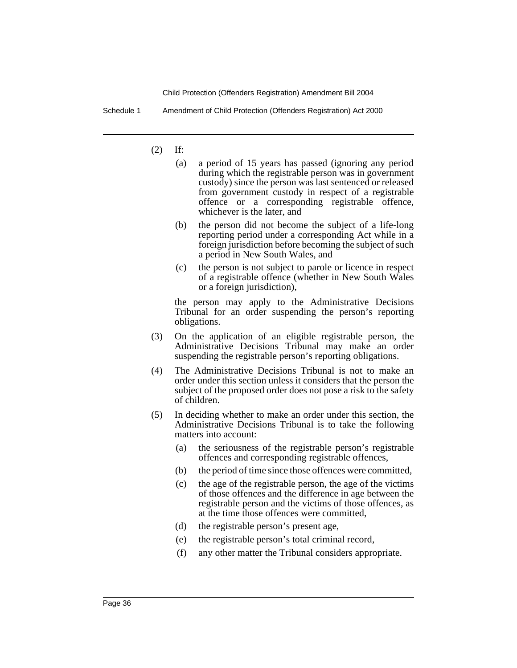Schedule 1 Amendment of Child Protection (Offenders Registration) Act 2000

(2) If:

- (a) a period of 15 years has passed (ignoring any period during which the registrable person was in government custody) since the person was last sentenced or released from government custody in respect of a registrable offence or a corresponding registrable offence, whichever is the later, and
- (b) the person did not become the subject of a life-long reporting period under a corresponding Act while in a foreign jurisdiction before becoming the subject of such a period in New South Wales, and
- (c) the person is not subject to parole or licence in respect of a registrable offence (whether in New South Wales or a foreign jurisdiction),

the person may apply to the Administrative Decisions Tribunal for an order suspending the person's reporting obligations.

- (3) On the application of an eligible registrable person, the Administrative Decisions Tribunal may make an order suspending the registrable person's reporting obligations.
- (4) The Administrative Decisions Tribunal is not to make an order under this section unless it considers that the person the subject of the proposed order does not pose a risk to the safety of children.
- (5) In deciding whether to make an order under this section, the Administrative Decisions Tribunal is to take the following matters into account:
	- (a) the seriousness of the registrable person's registrable offences and corresponding registrable offences,
	- (b) the period of time since those offences were committed,
	- (c) the age of the registrable person, the age of the victims of those offences and the difference in age between the registrable person and the victims of those offences, as at the time those offences were committed,
	- (d) the registrable person's present age,
	- (e) the registrable person's total criminal record,
	- (f) any other matter the Tribunal considers appropriate.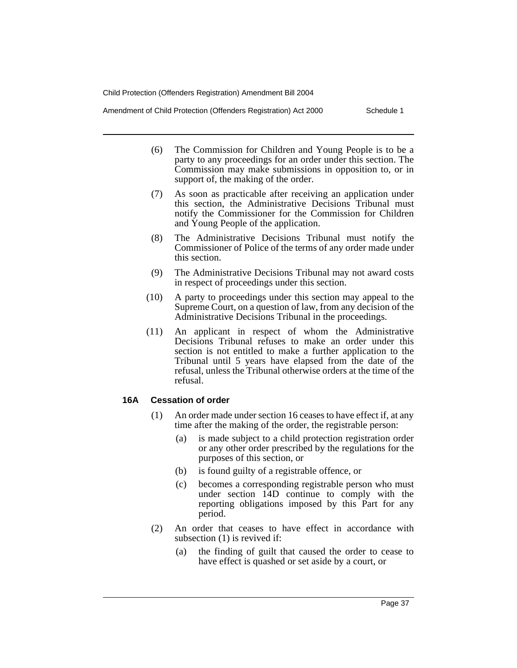Amendment of Child Protection (Offenders Registration) Act 2000 Schedule 1

- (6) The Commission for Children and Young People is to be a party to any proceedings for an order under this section. The Commission may make submissions in opposition to, or in support of, the making of the order.
- (7) As soon as practicable after receiving an application under this section, the Administrative Decisions Tribunal must notify the Commissioner for the Commission for Children and Young People of the application.
- (8) The Administrative Decisions Tribunal must notify the Commissioner of Police of the terms of any order made under this section.
- (9) The Administrative Decisions Tribunal may not award costs in respect of proceedings under this section.
- (10) A party to proceedings under this section may appeal to the Supreme Court, on a question of law, from any decision of the Administrative Decisions Tribunal in the proceedings.
- (11) An applicant in respect of whom the Administrative Decisions Tribunal refuses to make an order under this section is not entitled to make a further application to the Tribunal until 5 years have elapsed from the date of the refusal, unless the Tribunal otherwise orders at the time of the refusal.

## **16A Cessation of order**

- (1) An order made under section 16 ceases to have effect if, at any time after the making of the order, the registrable person:
	- (a) is made subject to a child protection registration order or any other order prescribed by the regulations for the purposes of this section, or
	- (b) is found guilty of a registrable offence, or
	- (c) becomes a corresponding registrable person who must under section 14D continue to comply with the reporting obligations imposed by this Part for any period.
- (2) An order that ceases to have effect in accordance with subsection (1) is revived if:
	- (a) the finding of guilt that caused the order to cease to have effect is quashed or set aside by a court, or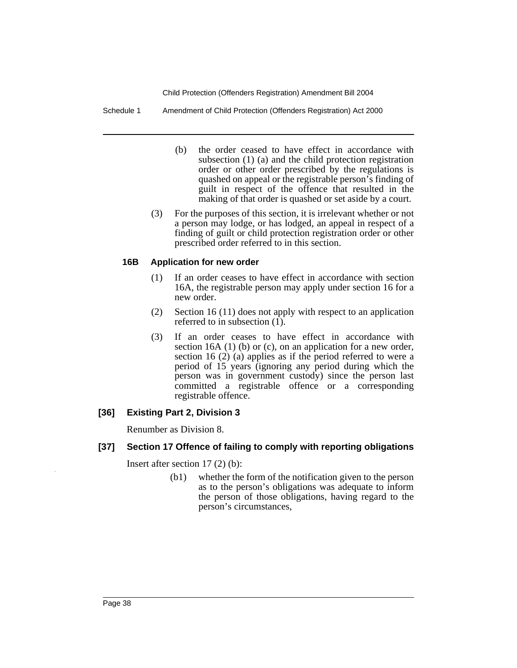Schedule 1 Amendment of Child Protection (Offenders Registration) Act 2000

- (b) the order ceased to have effect in accordance with subsection (1) (a) and the child protection registration order or other order prescribed by the regulations is quashed on appeal or the registrable person's finding of guilt in respect of the offence that resulted in the making of that order is quashed or set aside by a court.
- (3) For the purposes of this section, it is irrelevant whether or not a person may lodge, or has lodged, an appeal in respect of a finding of guilt or child protection registration order or other prescribed order referred to in this section.

### **16B Application for new order**

- (1) If an order ceases to have effect in accordance with section 16A, the registrable person may apply under section 16 for a new order.
- (2) Section 16 (11) does not apply with respect to an application referred to in subsection  $(1)$ .
- (3) If an order ceases to have effect in accordance with section 16A (1) (b) or (c), on an application for a new order, section 16 (2) (a) applies as if the period referred to were a period of 15 years (ignoring any period during which the person was in government custody) since the person last committed a registrable offence or a corresponding registrable offence.

### **[36] Existing Part 2, Division 3**

Renumber as Division 8.

### **[37] Section 17 Offence of failing to comply with reporting obligations**

Insert after section 17 (2) (b):

(b1) whether the form of the notification given to the person as to the person's obligations was adequate to inform the person of those obligations, having regard to the person's circumstances,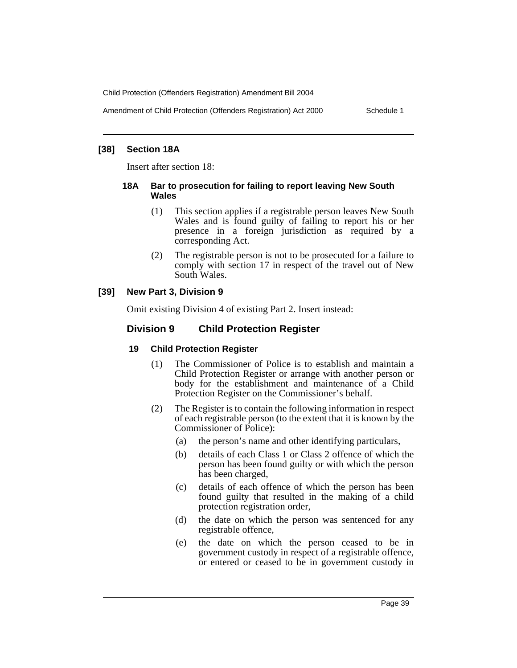Amendment of Child Protection (Offenders Registration) Act 2000 Schedule 1

## **[38] Section 18A**

Insert after section 18:

### **18A Bar to prosecution for failing to report leaving New South Wales**

- (1) This section applies if a registrable person leaves New South Wales and is found guilty of failing to report his or her presence in a foreign jurisdiction as required by a corresponding Act.
- (2) The registrable person is not to be prosecuted for a failure to comply with section 17 in respect of the travel out of New South Wales.

## **[39] New Part 3, Division 9**

Omit existing Division 4 of existing Part 2. Insert instead:

## **Division 9 Child Protection Register**

### **19 Child Protection Register**

- (1) The Commissioner of Police is to establish and maintain a Child Protection Register or arrange with another person or body for the establishment and maintenance of a Child Protection Register on the Commissioner's behalf.
- (2) The Register is to contain the following information in respect of each registrable person (to the extent that it is known by the Commissioner of Police):
	- (a) the person's name and other identifying particulars,
	- (b) details of each Class 1 or Class 2 offence of which the person has been found guilty or with which the person has been charged,
	- (c) details of each offence of which the person has been found guilty that resulted in the making of a child protection registration order,
	- (d) the date on which the person was sentenced for any registrable offence,
	- (e) the date on which the person ceased to be in government custody in respect of a registrable offence, or entered or ceased to be in government custody in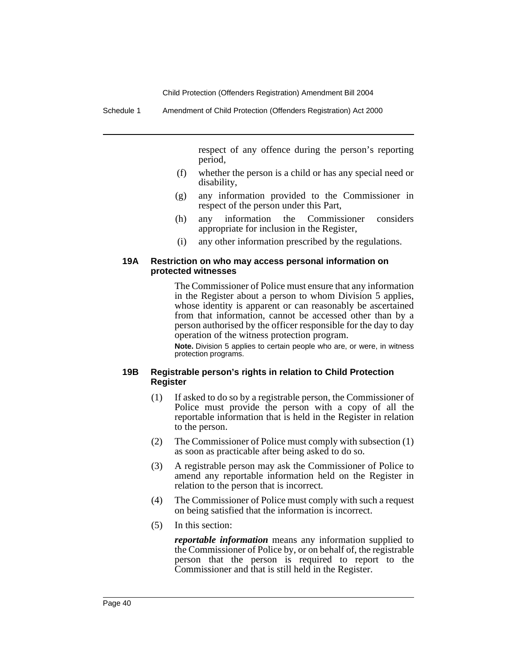Schedule 1 Amendment of Child Protection (Offenders Registration) Act 2000

respect of any offence during the person's reporting period,

- (f) whether the person is a child or has any special need or disability,
- (g) any information provided to the Commissioner in respect of the person under this Part,
- (h) any information the Commissioner considers appropriate for inclusion in the Register,
- (i) any other information prescribed by the regulations.

### **19A Restriction on who may access personal information on protected witnesses**

The Commissioner of Police must ensure that any information in the Register about a person to whom Division 5 applies, whose identity is apparent or can reasonably be ascertained from that information, cannot be accessed other than by a person authorised by the officer responsible for the day to day operation of the witness protection program.

**Note.** Division 5 applies to certain people who are, or were, in witness protection programs.

### **19B Registrable person's rights in relation to Child Protection Register**

- (1) If asked to do so by a registrable person, the Commissioner of Police must provide the person with a copy of all the reportable information that is held in the Register in relation to the person.
- (2) The Commissioner of Police must comply with subsection (1) as soon as practicable after being asked to do so.
- (3) A registrable person may ask the Commissioner of Police to amend any reportable information held on the Register in relation to the person that is incorrect.
- (4) The Commissioner of Police must comply with such a request on being satisfied that the information is incorrect.
- (5) In this section:

*reportable information* means any information supplied to the Commissioner of Police by, or on behalf of, the registrable person that the person is required to report to the Commissioner and that is still held in the Register.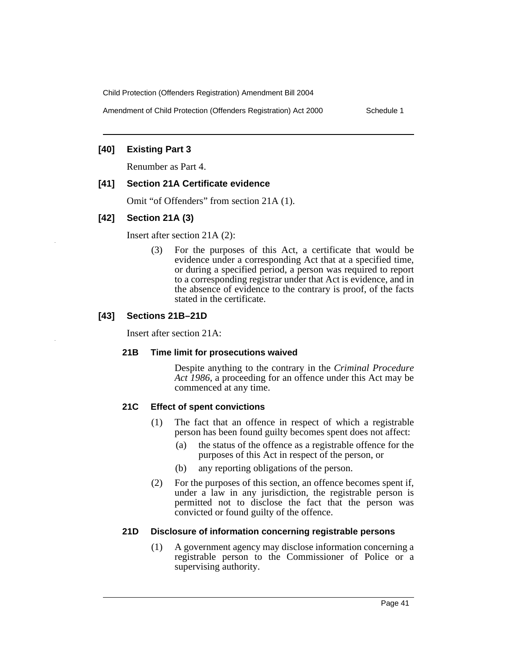Amendment of Child Protection (Offenders Registration) Act 2000 Schedule 1

## **[40] Existing Part 3**

Renumber as Part 4.

## **[41] Section 21A Certificate evidence**

Omit "of Offenders" from section 21A (1).

## **[42] Section 21A (3)**

Insert after section 21A (2):

(3) For the purposes of this Act, a certificate that would be evidence under a corresponding Act that at a specified time, or during a specified period, a person was required to report to a corresponding registrar under that Act is evidence, and in the absence of evidence to the contrary is proof, of the facts stated in the certificate.

## **[43] Sections 21B–21D**

Insert after section 21A:

### **21B Time limit for prosecutions waived**

Despite anything to the contrary in the *Criminal Procedure Act 1986*, a proceeding for an offence under this Act may be commenced at any time.

## **21C Effect of spent convictions**

- (1) The fact that an offence in respect of which a registrable person has been found guilty becomes spent does not affect:
	- (a) the status of the offence as a registrable offence for the purposes of this Act in respect of the person, or
	- (b) any reporting obligations of the person.
- (2) For the purposes of this section, an offence becomes spent if, under a law in any jurisdiction, the registrable person is permitted not to disclose the fact that the person was convicted or found guilty of the offence.

### **21D Disclosure of information concerning registrable persons**

(1) A government agency may disclose information concerning a registrable person to the Commissioner of Police or a supervising authority.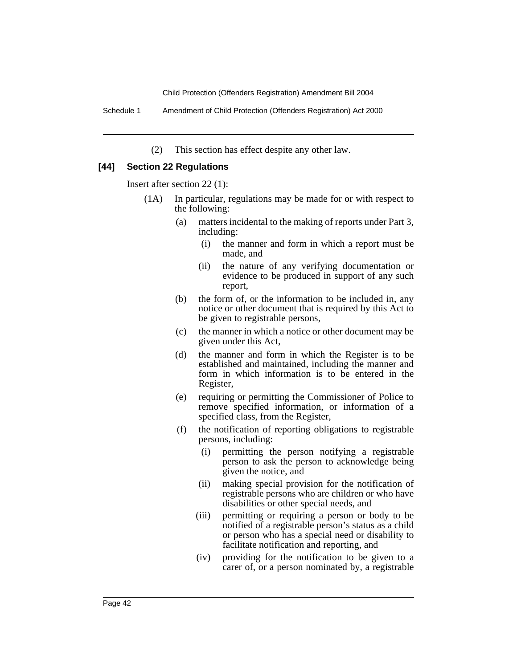Schedule 1 Amendment of Child Protection (Offenders Registration) Act 2000

(2) This section has effect despite any other law.

## **[44] Section 22 Regulations**

Insert after section 22 (1):

- (1A) In particular, regulations may be made for or with respect to the following:
	- (a) matters incidental to the making of reports under Part 3, including:
		- (i) the manner and form in which a report must be made, and
		- (ii) the nature of any verifying documentation or evidence to be produced in support of any such report,
	- (b) the form of, or the information to be included in, any notice or other document that is required by this Act to be given to registrable persons,
	- (c) the manner in which a notice or other document may be given under this Act,
	- (d) the manner and form in which the Register is to be established and maintained, including the manner and form in which information is to be entered in the Register,
	- (e) requiring or permitting the Commissioner of Police to remove specified information, or information of a specified class, from the Register,
	- (f) the notification of reporting obligations to registrable persons, including:
		- (i) permitting the person notifying a registrable person to ask the person to acknowledge being given the notice, and
		- (ii) making special provision for the notification of registrable persons who are children or who have disabilities or other special needs, and
		- (iii) permitting or requiring a person or body to be notified of a registrable person's status as a child or person who has a special need or disability to facilitate notification and reporting, and
		- (iv) providing for the notification to be given to a carer of, or a person nominated by, a registrable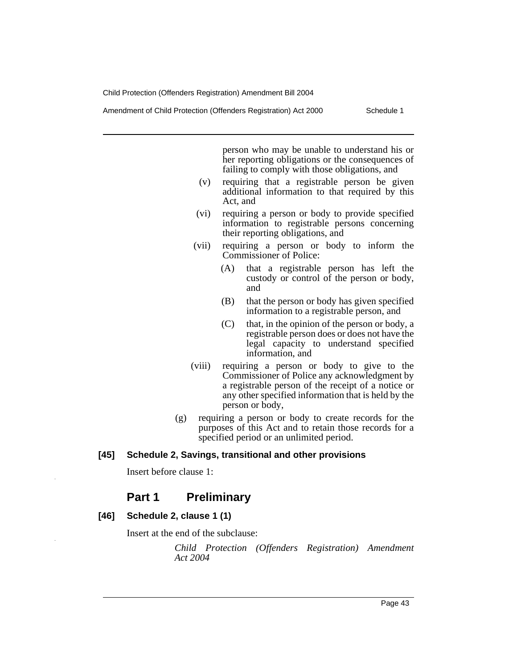Amendment of Child Protection (Offenders Registration) Act 2000 Schedule 1

person who may be unable to understand his or her reporting obligations or the consequences of failing to comply with those obligations, and

- (v) requiring that a registrable person be given additional information to that required by this Act, and
- (vi) requiring a person or body to provide specified information to registrable persons concerning their reporting obligations, and
- (vii) requiring a person or body to inform the Commissioner of Police:
	- (A) that a registrable person has left the custody or control of the person or body, and
	- (B) that the person or body has given specified information to a registrable person, and
	- (C) that, in the opinion of the person or body, a registrable person does or does not have the legal capacity to understand specified information, and
- (viii) requiring a person or body to give to the Commissioner of Police any acknowledgment by a registrable person of the receipt of a notice or any other specified information that is held by the person or body,
- (g) requiring a person or body to create records for the purposes of this Act and to retain those records for a specified period or an unlimited period.

## **[45] Schedule 2, Savings, transitional and other provisions**

Insert before clause 1:

# **Part 1 Preliminary**

### **[46] Schedule 2, clause 1 (1)**

Insert at the end of the subclause:

*Child Protection (Offenders Registration) Amendment Act 2004*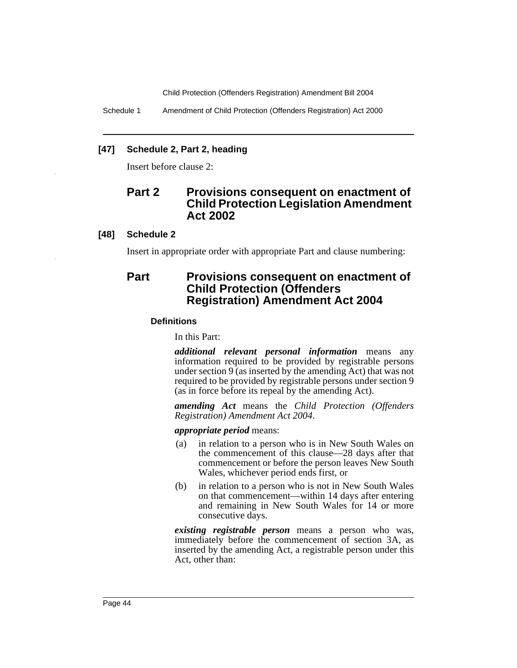Schedule 1 Amendment of Child Protection (Offenders Registration) Act 2000

### **[47] Schedule 2, Part 2, heading**

Insert before clause 2:

# **Part 2 Provisions consequent on enactment of Child Protection Legislation Amendment Act 2002**

#### **[48] Schedule 2**

Insert in appropriate order with appropriate Part and clause numbering:

# **Part Provisions consequent on enactment of Child Protection (Offenders Registration) Amendment Act 2004**

#### **Definitions**

In this Part:

*additional relevant personal information* means any information required to be provided by registrable persons under section  $9$  (as inserted by the amending Act) that was not required to be provided by registrable persons under section 9 (as in force before its repeal by the amending Act).

*amending Act* means the *Child Protection (Offenders Registration) Amendment Act 2004*.

#### *appropriate period* means:

- (a) in relation to a person who is in New South Wales on the commencement of this clause—28 days after that commencement or before the person leaves New South Wales, whichever period ends first, or
- (b) in relation to a person who is not in New South Wales on that commencement—within 14 days after entering and remaining in New South Wales for 14 or more consecutive days.

*existing registrable person* means a person who was, immediately before the commencement of section 3A, as inserted by the amending Act, a registrable person under this Act, other than: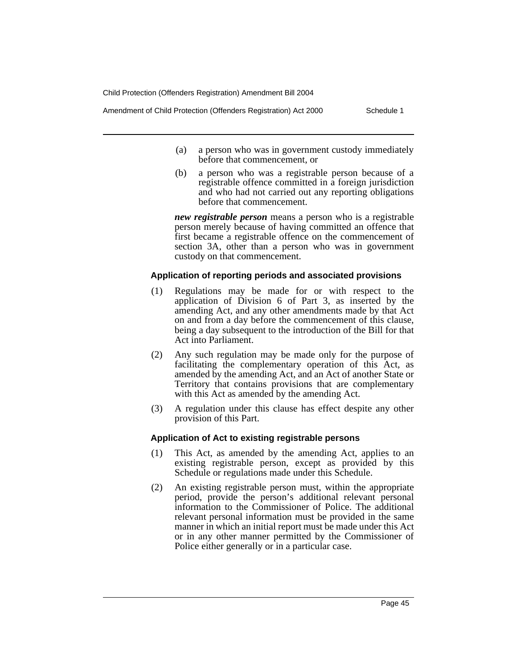Amendment of Child Protection (Offenders Registration) Act 2000 Schedule 1

- (a) a person who was in government custody immediately before that commencement, or
- (b) a person who was a registrable person because of a registrable offence committed in a foreign jurisdiction and who had not carried out any reporting obligations before that commencement.

*new registrable person* means a person who is a registrable person merely because of having committed an offence that first became a registrable offence on the commencement of section 3A, other than a person who was in government custody on that commencement.

#### **Application of reporting periods and associated provisions**

- (1) Regulations may be made for or with respect to the application of Division 6 of Part 3, as inserted by the amending Act, and any other amendments made by that Act on and from a day before the commencement of this clause, being a day subsequent to the introduction of the Bill for that Act into Parliament.
- (2) Any such regulation may be made only for the purpose of facilitating the complementary operation of this Act, as amended by the amending Act, and an Act of another State or Territory that contains provisions that are complementary with this Act as amended by the amending Act.
- (3) A regulation under this clause has effect despite any other provision of this Part.

### **Application of Act to existing registrable persons**

- (1) This Act, as amended by the amending Act, applies to an existing registrable person, except as provided by this Schedule or regulations made under this Schedule.
- (2) An existing registrable person must, within the appropriate period, provide the person's additional relevant personal information to the Commissioner of Police. The additional relevant personal information must be provided in the same manner in which an initial report must be made under this Act or in any other manner permitted by the Commissioner of Police either generally or in a particular case.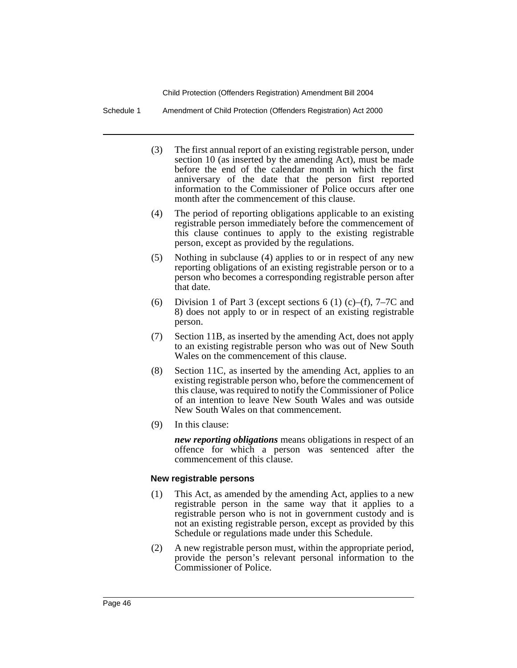Schedule 1 Amendment of Child Protection (Offenders Registration) Act 2000

- (3) The first annual report of an existing registrable person, under section 10 (as inserted by the amending Act), must be made before the end of the calendar month in which the first anniversary of the date that the person first reported information to the Commissioner of Police occurs after one month after the commencement of this clause.
- (4) The period of reporting obligations applicable to an existing registrable person immediately before the commencement of this clause continues to apply to the existing registrable person, except as provided by the regulations.
- (5) Nothing in subclause (4) applies to or in respect of any new reporting obligations of an existing registrable person or to a person who becomes a corresponding registrable person after that date.
- (6) Division 1 of Part 3 (except sections 6 (1) (c)–(f),  $7-7C$  and 8) does not apply to or in respect of an existing registrable person.
- (7) Section 11B, as inserted by the amending Act, does not apply to an existing registrable person who was out of New South Wales on the commencement of this clause.
- (8) Section 11C, as inserted by the amending Act, applies to an existing registrable person who, before the commencement of this clause, was required to notify the Commissioner of Police of an intention to leave New South Wales and was outside New South Wales on that commencement.
- (9) In this clause:

*new reporting obligations* means obligations in respect of an offence for which a person was sentenced after the commencement of this clause.

### **New registrable persons**

- (1) This Act, as amended by the amending Act, applies to a new registrable person in the same way that it applies to a registrable person who is not in government custody and is not an existing registrable person, except as provided by this Schedule or regulations made under this Schedule.
- (2) A new registrable person must, within the appropriate period, provide the person's relevant personal information to the Commissioner of Police.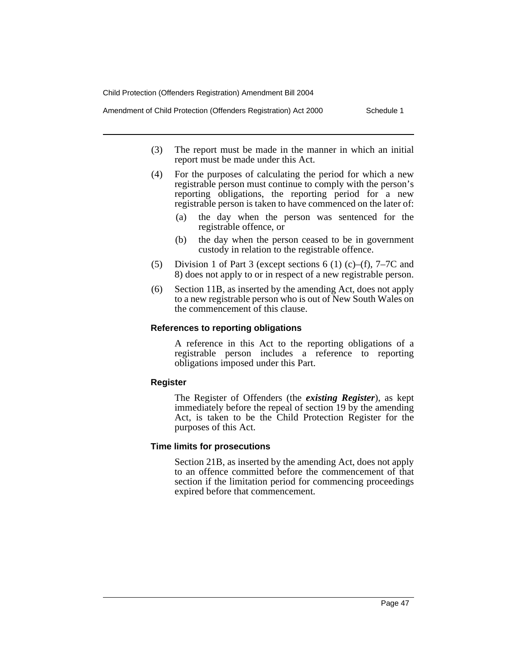Amendment of Child Protection (Offenders Registration) Act 2000 Schedule 1

- (3) The report must be made in the manner in which an initial report must be made under this Act.
- (4) For the purposes of calculating the period for which a new registrable person must continue to comply with the person's reporting obligations, the reporting period for a new registrable person is taken to have commenced on the later of:
	- (a) the day when the person was sentenced for the registrable offence, or
	- (b) the day when the person ceased to be in government custody in relation to the registrable offence.
- (5) Division 1 of Part 3 (except sections 6 (1) (c)–(f), 7–7C and 8) does not apply to or in respect of a new registrable person.
- (6) Section 11B, as inserted by the amending Act, does not apply to a new registrable person who is out of New South Wales on the commencement of this clause.

#### **References to reporting obligations**

A reference in this Act to the reporting obligations of a registrable person includes a reference to reporting obligations imposed under this Part.

#### **Register**

The Register of Offenders (the *existing Register*), as kept immediately before the repeal of section 19 by the amending Act, is taken to be the Child Protection Register for the purposes of this Act.

#### **Time limits for prosecutions**

Section 21B, as inserted by the amending Act, does not apply to an offence committed before the commencement of that section if the limitation period for commencing proceedings expired before that commencement.